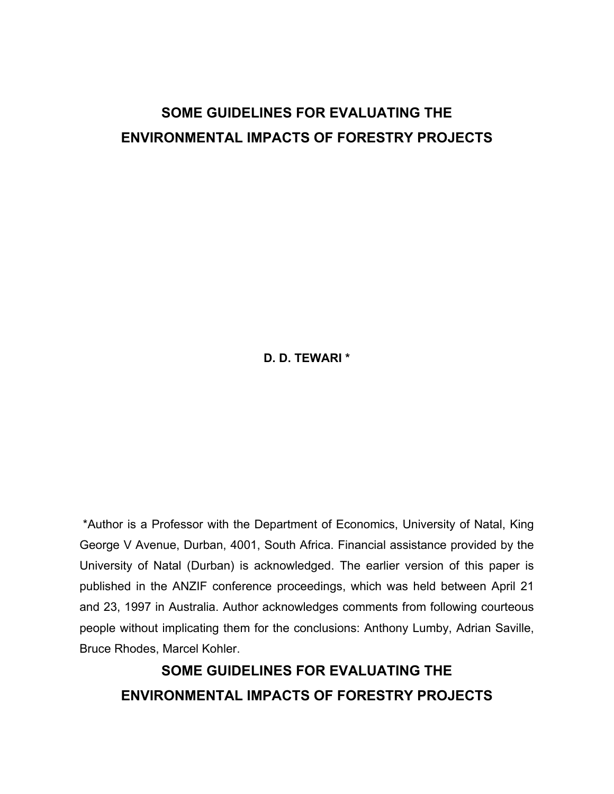# **SOME GUIDELINES FOR EVALUATING THE ENVIRONMENTAL IMPACTS OF FORESTRY PROJECTS**

**D. D. TEWARI \*** 

 \*Author is a Professor with the Department of Economics, University of Natal, King George V Avenue, Durban, 4001, South Africa. Financial assistance provided by the University of Natal (Durban) is acknowledged. The earlier version of this paper is published in the ANZIF conference proceedings, which was held between April 21 and 23, 1997 in Australia. Author acknowledges comments from following courteous people without implicating them for the conclusions: Anthony Lumby, Adrian Saville, Bruce Rhodes, Marcel Kohler.

**SOME GUIDELINES FOR EVALUATING THE ENVIRONMENTAL IMPACTS OF FORESTRY PROJECTS**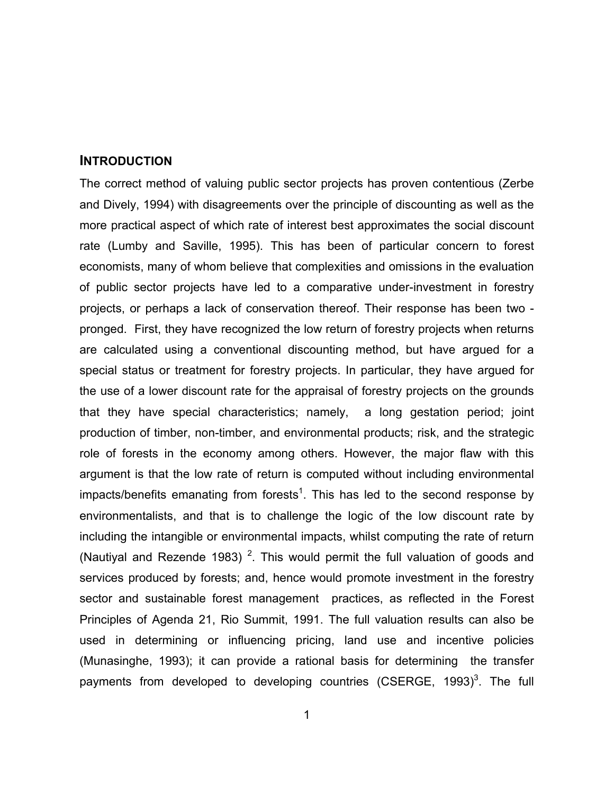## **INTRODUCTION**

The correct method of valuing public sector projects has proven contentious (Zerbe and Dively, 1994) with disagreements over the principle of discounting as well as the more practical aspect of which rate of interest best approximates the social discount rate (Lumby and Saville, 1995). This has been of particular concern to forest economists, many of whom believe that complexities and omissions in the evaluation of public sector projects have led to a comparative under-investment in forestry projects, or perhaps a lack of conservation thereof. Their response has been two pronged. First, they have recognized the low return of forestry projects when returns are calculated using a conventional discounting method, but have argued for a special status or treatment for forestry projects. In particular, they have argued for the use of a lower discount rate for the appraisal of forestry projects on the grounds that they have special characteristics; namely, a long gestation period; joint production of timber, non-timber, and environmental products; risk, and the strategic role of forests in the economy among others. However, the major flaw with this argument is that the low rate of return is computed without including environmental impacts/benefits emanating from forests<sup>1</sup>. This has led to the second response by environmentalists, and that is to challenge the logic of the low discount rate by including the intangible or environmental impacts, whilst computing the rate of return (Nautiyal and Rezende 1983)<sup>2</sup>. This would permit the full valuation of goods and services produced by forests; and, hence would promote investment in the forestry sector and sustainable forest management practices, as reflected in the Forest Principles of Agenda 21, Rio Summit, 1991. The full valuation results can also be used in determining or influencing pricing, land use and incentive policies (Munasinghe, 1993); it can provide a rational basis for determining the transfer payments from developed to developing countries (CSERGE, 1993)<sup>3</sup>. The full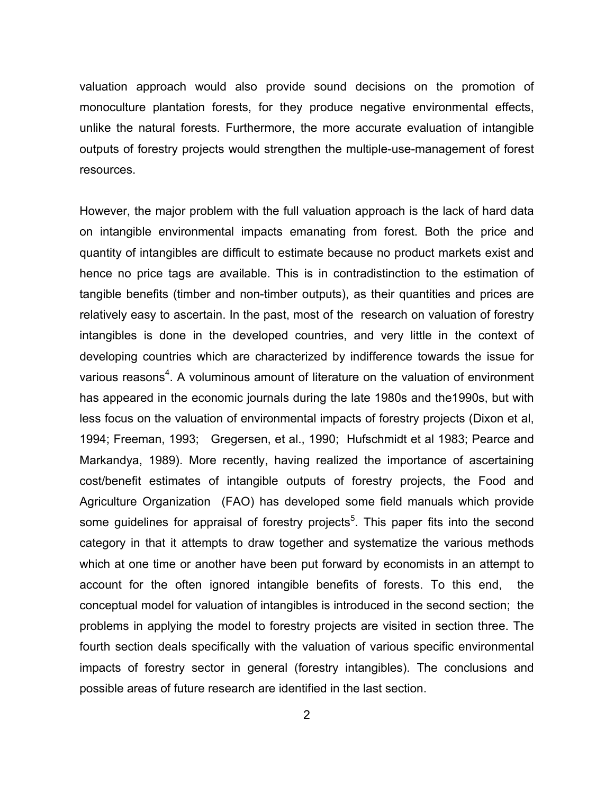valuation approach would also provide sound decisions on the promotion of monoculture plantation forests, for they produce negative environmental effects, unlike the natural forests. Furthermore, the more accurate evaluation of intangible outputs of forestry projects would strengthen the multiple-use-management of forest resources.

However, the major problem with the full valuation approach is the lack of hard data on intangible environmental impacts emanating from forest. Both the price and quantity of intangibles are difficult to estimate because no product markets exist and hence no price tags are available. This is in contradistinction to the estimation of tangible benefits (timber and non-timber outputs), as their quantities and prices are relatively easy to ascertain. In the past, most of the research on valuation of forestry intangibles is done in the developed countries, and very little in the context of developing countries which are characterized by indifference towards the issue for various reasons<sup>4</sup>. A voluminous amount of literature on the valuation of environment has appeared in the economic journals during the late 1980s and the1990s, but with less focus on the valuation of environmental impacts of forestry projects (Dixon et al, 1994; Freeman, 1993; Gregersen, et al., 1990; Hufschmidt et al 1983; Pearce and Markandya, 1989). More recently, having realized the importance of ascertaining cost/benefit estimates of intangible outputs of forestry projects, the Food and Agriculture Organization (FAO) has developed some field manuals which provide some guidelines for appraisal of forestry projects<sup>5</sup>. This paper fits into the second category in that it attempts to draw together and systematize the various methods which at one time or another have been put forward by economists in an attempt to account for the often ignored intangible benefits of forests. To this end, the conceptual model for valuation of intangibles is introduced in the second section; the problems in applying the model to forestry projects are visited in section three. The fourth section deals specifically with the valuation of various specific environmental impacts of forestry sector in general (forestry intangibles). The conclusions and possible areas of future research are identified in the last section.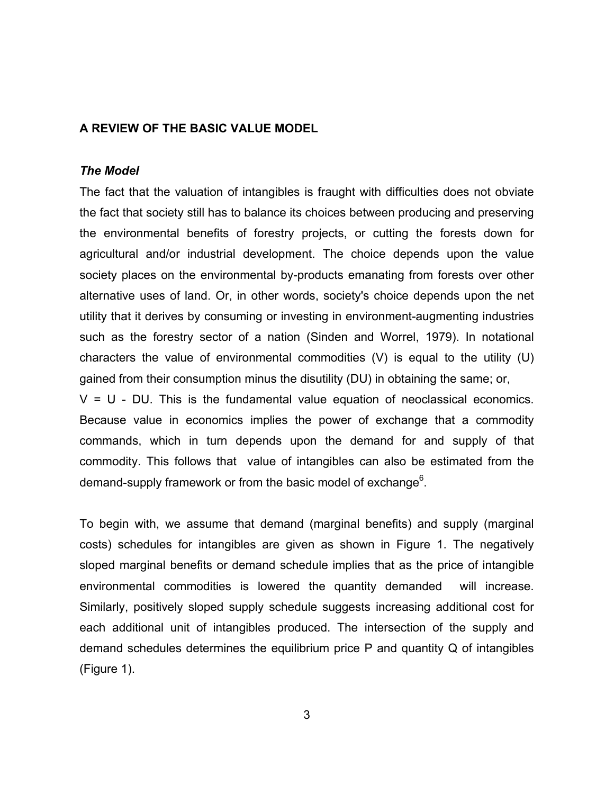# **A REVIEW OF THE BASIC VALUE MODEL**

# *The Model*

The fact that the valuation of intangibles is fraught with difficulties does not obviate the fact that society still has to balance its choices between producing and preserving the environmental benefits of forestry projects, or cutting the forests down for agricultural and/or industrial development. The choice depends upon the value society places on the environmental by-products emanating from forests over other alternative uses of land. Or, in other words, society's choice depends upon the net utility that it derives by consuming or investing in environment-augmenting industries such as the forestry sector of a nation (Sinden and Worrel, 1979). In notational characters the value of environmental commodities (V) is equal to the utility (U) gained from their consumption minus the disutility (DU) in obtaining the same; or,  $V = U - DU$ . This is the fundamental value equation of neoclassical economics. Because value in economics implies the power of exchange that a commodity commands, which in turn depends upon the demand for and supply of that commodity. This follows that value of intangibles can also be estimated from the

To begin with, we assume that demand (marginal benefits) and supply (marginal costs) schedules for intangibles are given as shown in Figure 1. The negatively sloped marginal benefits or demand schedule implies that as the price of intangible environmental commodities is lowered the quantity demanded will increase. Similarly, positively sloped supply schedule suggests increasing additional cost for each additional unit of intangibles produced. The intersection of the supply and demand schedules determines the equilibrium price P and quantity Q of intangibles (Figure 1).

demand-supply framework or from the basic model of exchange $6$ .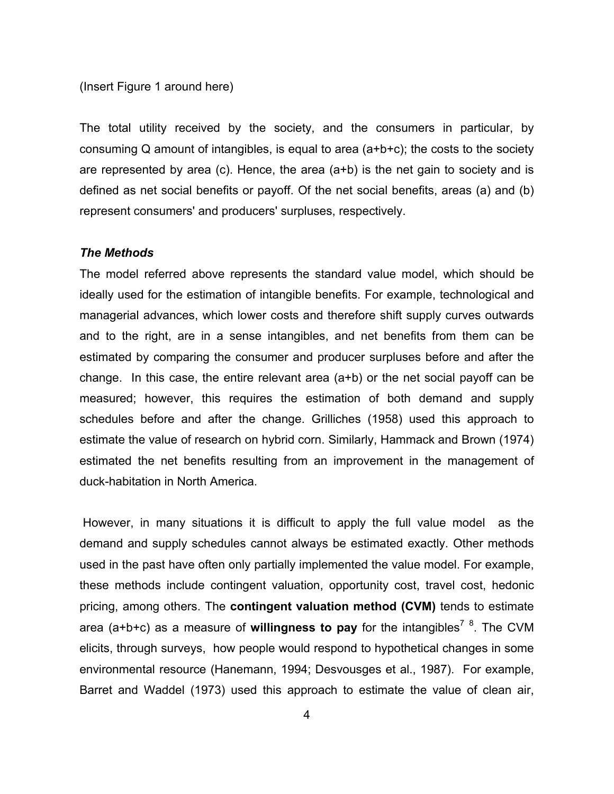#### (Insert Figure 1 around here)

The total utility received by the society, and the consumers in particular, by consuming Q amount of intangibles, is equal to area (a+b+c); the costs to the society are represented by area (c). Hence, the area (a+b) is the net gain to society and is defined as net social benefits or payoff. Of the net social benefits, areas (a) and (b) represent consumers' and producers' surpluses, respectively.

#### *The Methods*

The model referred above represents the standard value model, which should be ideally used for the estimation of intangible benefits. For example, technological and managerial advances, which lower costs and therefore shift supply curves outwards and to the right, are in a sense intangibles, and net benefits from them can be estimated by comparing the consumer and producer surpluses before and after the change. In this case, the entire relevant area  $(a+b)$  or the net social payoff can be measured; however, this requires the estimation of both demand and supply schedules before and after the change. Grilliches (1958) used this approach to estimate the value of research on hybrid corn. Similarly, Hammack and Brown (1974) estimated the net benefits resulting from an improvement in the management of duck-habitation in North America.

 However, in many situations it is difficult to apply the full value model as the demand and supply schedules cannot always be estimated exactly. Other methods used in the past have often only partially implemented the value model. For example, these methods include contingent valuation, opportunity cost, travel cost, hedonic pricing, among others. The **contingent valuation method (CVM)** tends to estimate area (a+b+c) as a measure of willingness to pay for the intangibles<sup>7</sup> <sup>8</sup>. The CVM elicits, through surveys, how people would respond to hypothetical changes in some environmental resource (Hanemann, 1994; Desvousges et al., 1987). For example, Barret and Waddel (1973) used this approach to estimate the value of clean air,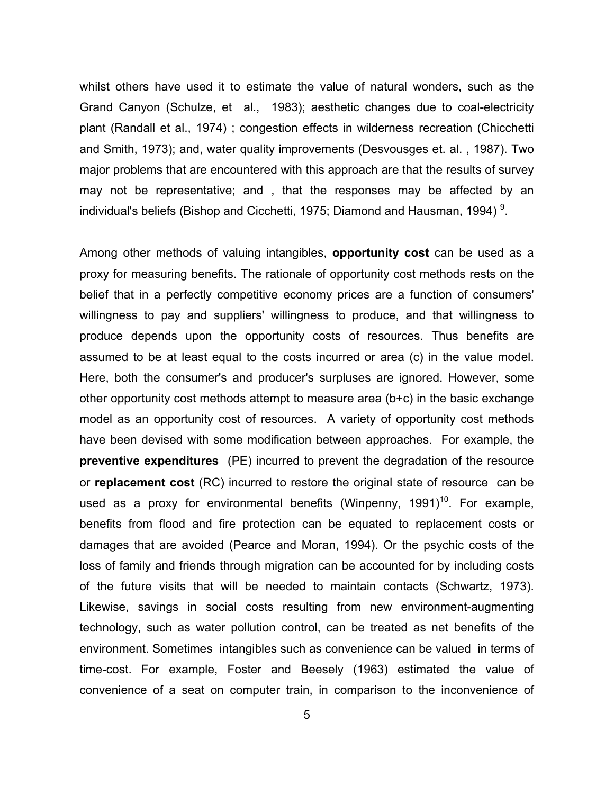whilst others have used it to estimate the value of natural wonders, such as the Grand Canyon (Schulze, et al., 1983); aesthetic changes due to coal-electricity plant (Randall et al., 1974) ; congestion effects in wilderness recreation (Chicchetti and Smith, 1973); and, water quality improvements (Desvousges et. al. , 1987). Two major problems that are encountered with this approach are that the results of survey may not be representative; and , that the responses may be affected by an individual's beliefs (Bishop and Cicchetti, 1975; Diamond and Hausman, 1994)<sup>9</sup>.

Among other methods of valuing intangibles, **opportunity cost** can be used as a proxy for measuring benefits. The rationale of opportunity cost methods rests on the belief that in a perfectly competitive economy prices are a function of consumers' willingness to pay and suppliers' willingness to produce, and that willingness to produce depends upon the opportunity costs of resources. Thus benefits are assumed to be at least equal to the costs incurred or area (c) in the value model. Here, both the consumer's and producer's surpluses are ignored. However, some other opportunity cost methods attempt to measure area (b+c) in the basic exchange model as an opportunity cost of resources. A variety of opportunity cost methods have been devised with some modification between approaches. For example, the **preventive expenditures** (PE) incurred to prevent the degradation of the resource or **replacement cost** (RC) incurred to restore the original state of resource can be used as a proxy for environmental benefits (Winpenny, 1991)<sup>10</sup>. For example, benefits from flood and fire protection can be equated to replacement costs or damages that are avoided (Pearce and Moran, 1994). Or the psychic costs of the loss of family and friends through migration can be accounted for by including costs of the future visits that will be needed to maintain contacts (Schwartz, 1973). Likewise, savings in social costs resulting from new environment-augmenting technology, such as water pollution control, can be treated as net benefits of the environment. Sometimes intangibles such as convenience can be valued in terms of time-cost. For example, Foster and Beesely (1963) estimated the value of convenience of a seat on computer train, in comparison to the inconvenience of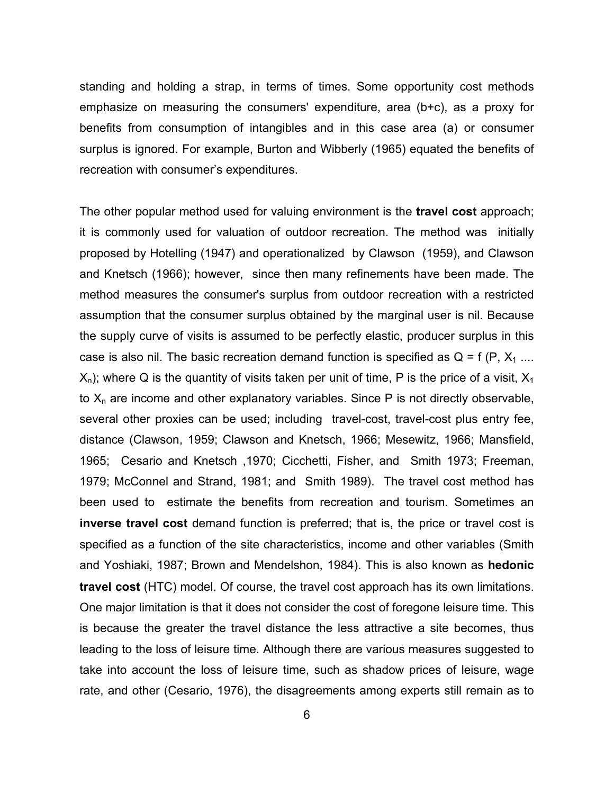standing and holding a strap, in terms of times. Some opportunity cost methods emphasize on measuring the consumers' expenditure, area (b+c), as a proxy for benefits from consumption of intangibles and in this case area (a) or consumer surplus is ignored. For example, Burton and Wibberly (1965) equated the benefits of recreation with consumer's expenditures.

The other popular method used for valuing environment is the **travel cost** approach; it is commonly used for valuation of outdoor recreation. The method was initially proposed by Hotelling (1947) and operationalized by Clawson (1959), and Clawson and Knetsch (1966); however, since then many refinements have been made. The method measures the consumer's surplus from outdoor recreation with a restricted assumption that the consumer surplus obtained by the marginal user is nil. Because the supply curve of visits is assumed to be perfectly elastic, producer surplus in this case is also nil. The basic recreation demand function is specified as  $Q = f(P, X_1 ...$  $X_n$ ); where Q is the quantity of visits taken per unit of time, P is the price of a visit,  $X_1$ to  $X_n$  are income and other explanatory variables. Since P is not directly observable, several other proxies can be used; including travel-cost, travel-cost plus entry fee, distance (Clawson, 1959; Clawson and Knetsch, 1966; Mesewitz, 1966; Mansfield, 1965; Cesario and Knetsch ,1970; Cicchetti, Fisher, and Smith 1973; Freeman, 1979; McConnel and Strand, 1981; and Smith 1989). The travel cost method has been used to estimate the benefits from recreation and tourism. Sometimes an **inverse travel cost** demand function is preferred; that is, the price or travel cost is specified as a function of the site characteristics, income and other variables (Smith and Yoshiaki, 1987; Brown and Mendelshon, 1984). This is also known as **hedonic travel cost** (HTC) model. Of course, the travel cost approach has its own limitations. One major limitation is that it does not consider the cost of foregone leisure time. This is because the greater the travel distance the less attractive a site becomes, thus leading to the loss of leisure time. Although there are various measures suggested to take into account the loss of leisure time, such as shadow prices of leisure, wage rate, and other (Cesario, 1976), the disagreements among experts still remain as to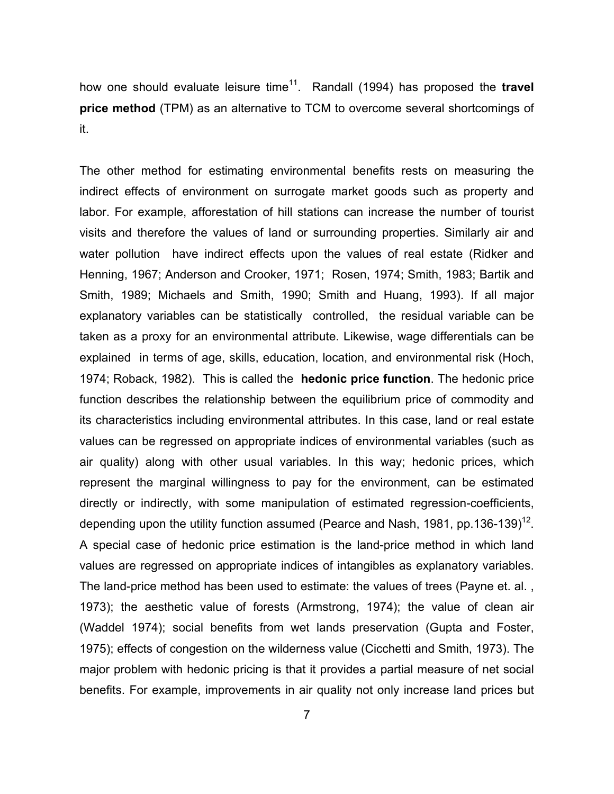how one should evaluate leisure time<sup>11</sup>. Randall (1994) has proposed the travel **price method** (TPM) as an alternative to TCM to overcome several shortcomings of it.

The other method for estimating environmental benefits rests on measuring the indirect effects of environment on surrogate market goods such as property and labor. For example, afforestation of hill stations can increase the number of tourist visits and therefore the values of land or surrounding properties. Similarly air and water pollution have indirect effects upon the values of real estate (Ridker and Henning, 1967; Anderson and Crooker, 1971; Rosen, 1974; Smith, 1983; Bartik and Smith, 1989; Michaels and Smith, 1990; Smith and Huang, 1993). If all major explanatory variables can be statistically controlled, the residual variable can be taken as a proxy for an environmental attribute. Likewise, wage differentials can be explained in terms of age, skills, education, location, and environmental risk (Hoch, 1974; Roback, 1982). This is called the **hedonic price function**. The hedonic price function describes the relationship between the equilibrium price of commodity and its characteristics including environmental attributes. In this case, land or real estate values can be regressed on appropriate indices of environmental variables (such as air quality) along with other usual variables. In this way; hedonic prices, which represent the marginal willingness to pay for the environment, can be estimated directly or indirectly, with some manipulation of estimated regression-coefficients, depending upon the utility function assumed (Pearce and Nash, 1981, pp.136-139)<sup>12</sup>. A special case of hedonic price estimation is the land-price method in which land values are regressed on appropriate indices of intangibles as explanatory variables. The land-price method has been used to estimate: the values of trees (Payne et. al. , 1973); the aesthetic value of forests (Armstrong, 1974); the value of clean air (Waddel 1974); social benefits from wet lands preservation (Gupta and Foster, 1975); effects of congestion on the wilderness value (Cicchetti and Smith, 1973). The major problem with hedonic pricing is that it provides a partial measure of net social benefits. For example, improvements in air quality not only increase land prices but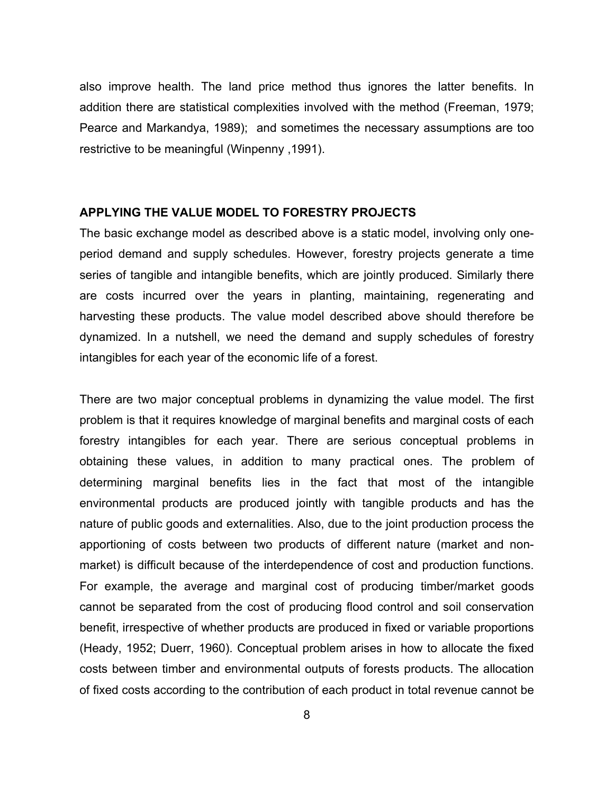also improve health. The land price method thus ignores the latter benefits. In addition there are statistical complexities involved with the method (Freeman, 1979; Pearce and Markandya, 1989); and sometimes the necessary assumptions are too restrictive to be meaningful (Winpenny ,1991).

#### **APPLYING THE VALUE MODEL TO FORESTRY PROJECTS**

The basic exchange model as described above is a static model, involving only oneperiod demand and supply schedules. However, forestry projects generate a time series of tangible and intangible benefits, which are jointly produced. Similarly there are costs incurred over the years in planting, maintaining, regenerating and harvesting these products. The value model described above should therefore be dynamized. In a nutshell, we need the demand and supply schedules of forestry intangibles for each year of the economic life of a forest.

There are two major conceptual problems in dynamizing the value model. The first problem is that it requires knowledge of marginal benefits and marginal costs of each forestry intangibles for each year. There are serious conceptual problems in obtaining these values, in addition to many practical ones. The problem of determining marginal benefits lies in the fact that most of the intangible environmental products are produced jointly with tangible products and has the nature of public goods and externalities. Also, due to the joint production process the apportioning of costs between two products of different nature (market and nonmarket) is difficult because of the interdependence of cost and production functions. For example, the average and marginal cost of producing timber/market goods cannot be separated from the cost of producing flood control and soil conservation benefit, irrespective of whether products are produced in fixed or variable proportions (Heady, 1952; Duerr, 1960). Conceptual problem arises in how to allocate the fixed costs between timber and environmental outputs of forests products. The allocation of fixed costs according to the contribution of each product in total revenue cannot be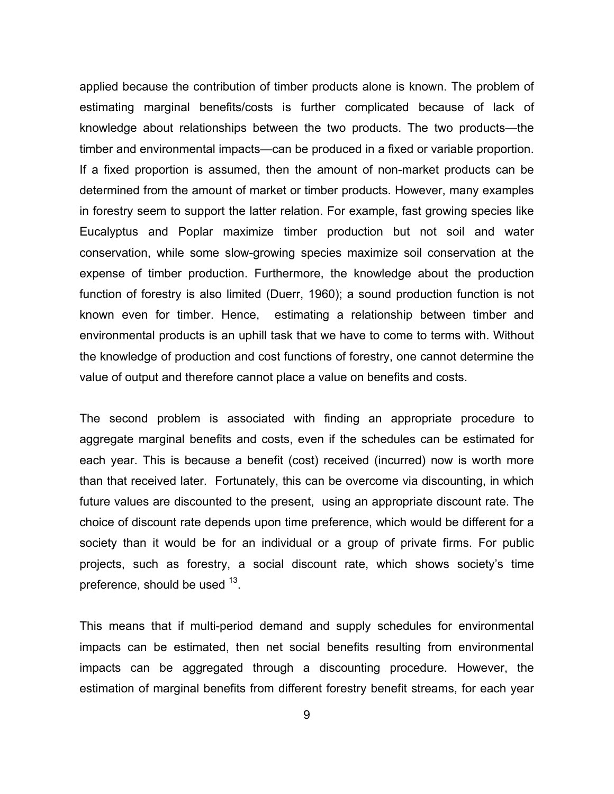applied because the contribution of timber products alone is known. The problem of estimating marginal benefits/costs is further complicated because of lack of knowledge about relationships between the two products. The two products—the timber and environmental impacts—can be produced in a fixed or variable proportion. If a fixed proportion is assumed, then the amount of non-market products can be determined from the amount of market or timber products. However, many examples in forestry seem to support the latter relation. For example, fast growing species like Eucalyptus and Poplar maximize timber production but not soil and water conservation, while some slow-growing species maximize soil conservation at the expense of timber production. Furthermore, the knowledge about the production function of forestry is also limited (Duerr, 1960); a sound production function is not known even for timber. Hence, estimating a relationship between timber and environmental products is an uphill task that we have to come to terms with. Without the knowledge of production and cost functions of forestry, one cannot determine the value of output and therefore cannot place a value on benefits and costs.

The second problem is associated with finding an appropriate procedure to aggregate marginal benefits and costs, even if the schedules can be estimated for each year. This is because a benefit (cost) received (incurred) now is worth more than that received later. Fortunately, this can be overcome via discounting, in which future values are discounted to the present, using an appropriate discount rate. The choice of discount rate depends upon time preference, which would be different for a society than it would be for an individual or a group of private firms. For public projects, such as forestry, a social discount rate, which shows society's time preference, should be used <sup>13</sup>.

This means that if multi-period demand and supply schedules for environmental impacts can be estimated, then net social benefits resulting from environmental impacts can be aggregated through a discounting procedure. However, the estimation of marginal benefits from different forestry benefit streams, for each year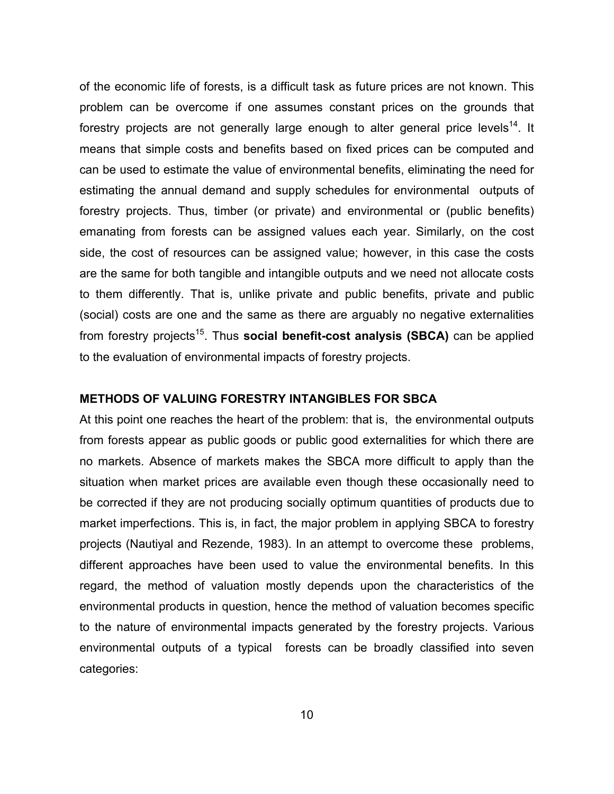of the economic life of forests, is a difficult task as future prices are not known. This problem can be overcome if one assumes constant prices on the grounds that forestry projects are not generally large enough to alter general price levels<sup>14</sup>. It means that simple costs and benefits based on fixed prices can be computed and can be used to estimate the value of environmental benefits, eliminating the need for estimating the annual demand and supply schedules for environmental outputs of forestry projects. Thus, timber (or private) and environmental or (public benefits) emanating from forests can be assigned values each year. Similarly, on the cost side, the cost of resources can be assigned value; however, in this case the costs are the same for both tangible and intangible outputs and we need not allocate costs to them differently. That is, unlike private and public benefits, private and public (social) costs are one and the same as there are arguably no negative externalities from forestry projects<sup>15</sup>. Thus **social benefit-cost analysis (SBCA)** can be applied to the evaluation of environmental impacts of forestry projects.

# **METHODS OF VALUING FORESTRY INTANGIBLES FOR SBCA**

At this point one reaches the heart of the problem: that is, the environmental outputs from forests appear as public goods or public good externalities for which there are no markets. Absence of markets makes the SBCA more difficult to apply than the situation when market prices are available even though these occasionally need to be corrected if they are not producing socially optimum quantities of products due to market imperfections. This is, in fact, the major problem in applying SBCA to forestry projects (Nautiyal and Rezende, 1983). In an attempt to overcome these problems, different approaches have been used to value the environmental benefits. In this regard, the method of valuation mostly depends upon the characteristics of the environmental products in question, hence the method of valuation becomes specific to the nature of environmental impacts generated by the forestry projects. Various environmental outputs of a typical forests can be broadly classified into seven categories: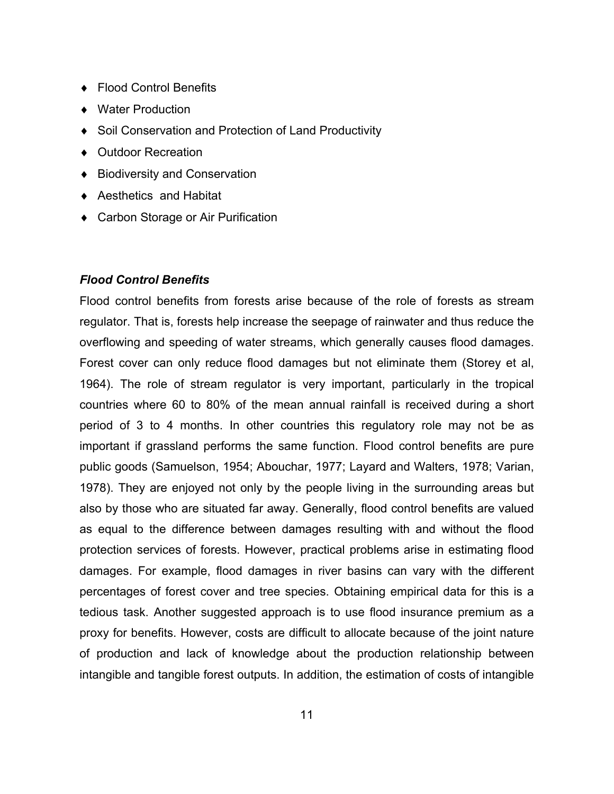- ♦ Flood Control Benefits
- ♦ Water Production
- ♦ Soil Conservation and Protection of Land Productivity
- ♦ Outdoor Recreation
- ♦ Biodiversity and Conservation
- ♦ Aesthetics and Habitat
- ◆ Carbon Storage or Air Purification

# *Flood Control Benefits*

Flood control benefits from forests arise because of the role of forests as stream regulator. That is, forests help increase the seepage of rainwater and thus reduce the overflowing and speeding of water streams, which generally causes flood damages. Forest cover can only reduce flood damages but not eliminate them (Storey et al, 1964). The role of stream regulator is very important, particularly in the tropical countries where 60 to 80% of the mean annual rainfall is received during a short period of 3 to 4 months. In other countries this regulatory role may not be as important if grassland performs the same function. Flood control benefits are pure public goods (Samuelson, 1954; Abouchar, 1977; Layard and Walters, 1978; Varian, 1978). They are enjoyed not only by the people living in the surrounding areas but also by those who are situated far away. Generally, flood control benefits are valued as equal to the difference between damages resulting with and without the flood protection services of forests. However, practical problems arise in estimating flood damages. For example, flood damages in river basins can vary with the different percentages of forest cover and tree species. Obtaining empirical data for this is a tedious task. Another suggested approach is to use flood insurance premium as a proxy for benefits. However, costs are difficult to allocate because of the joint nature of production and lack of knowledge about the production relationship between intangible and tangible forest outputs. In addition, the estimation of costs of intangible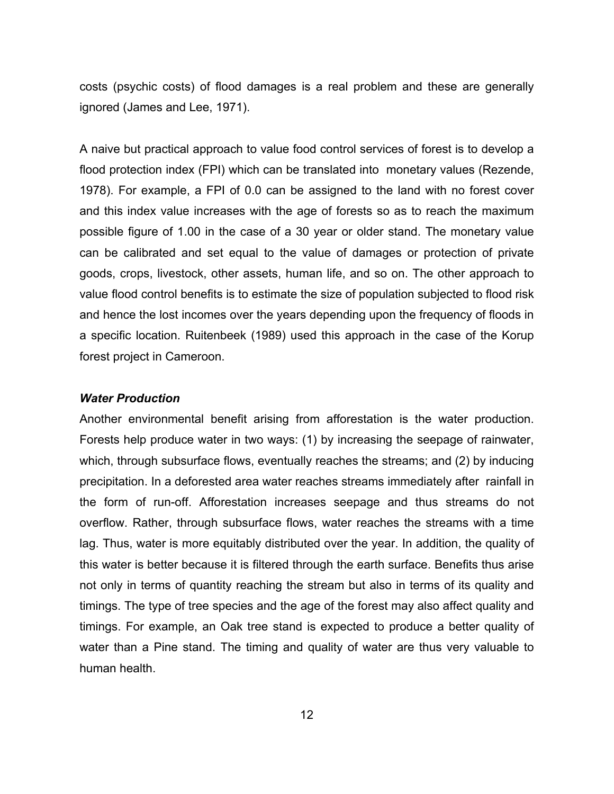costs (psychic costs) of flood damages is a real problem and these are generally ignored (James and Lee, 1971).

A naive but practical approach to value food control services of forest is to develop a flood protection index (FPI) which can be translated into monetary values (Rezende, 1978). For example, a FPI of 0.0 can be assigned to the land with no forest cover and this index value increases with the age of forests so as to reach the maximum possible figure of 1.00 in the case of a 30 year or older stand. The monetary value can be calibrated and set equal to the value of damages or protection of private goods, crops, livestock, other assets, human life, and so on. The other approach to value flood control benefits is to estimate the size of population subjected to flood risk and hence the lost incomes over the years depending upon the frequency of floods in a specific location. Ruitenbeek (1989) used this approach in the case of the Korup forest project in Cameroon.

# *Water Production*

Another environmental benefit arising from afforestation is the water production. Forests help produce water in two ways: (1) by increasing the seepage of rainwater, which, through subsurface flows, eventually reaches the streams; and (2) by inducing precipitation. In a deforested area water reaches streams immediately after rainfall in the form of run-off. Afforestation increases seepage and thus streams do not overflow. Rather, through subsurface flows, water reaches the streams with a time lag. Thus, water is more equitably distributed over the year. In addition, the quality of this water is better because it is filtered through the earth surface. Benefits thus arise not only in terms of quantity reaching the stream but also in terms of its quality and timings. The type of tree species and the age of the forest may also affect quality and timings. For example, an Oak tree stand is expected to produce a better quality of water than a Pine stand. The timing and quality of water are thus very valuable to human health.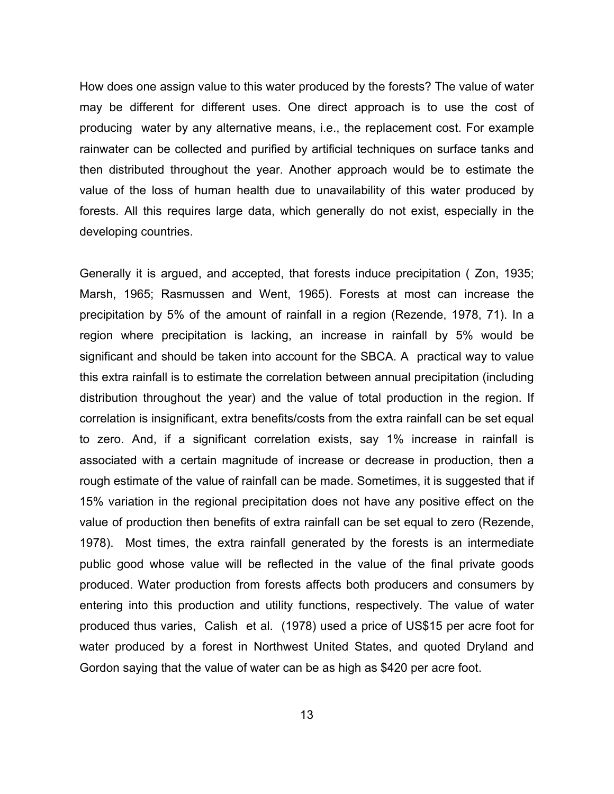How does one assign value to this water produced by the forests? The value of water may be different for different uses. One direct approach is to use the cost of producing water by any alternative means, i.e., the replacement cost. For example rainwater can be collected and purified by artificial techniques on surface tanks and then distributed throughout the year. Another approach would be to estimate the value of the loss of human health due to unavailability of this water produced by forests. All this requires large data, which generally do not exist, especially in the developing countries.

Generally it is argued, and accepted, that forests induce precipitation ( Zon, 1935; Marsh, 1965; Rasmussen and Went, 1965). Forests at most can increase the precipitation by 5% of the amount of rainfall in a region (Rezende, 1978, 71). In a region where precipitation is lacking, an increase in rainfall by 5% would be significant and should be taken into account for the SBCA. A practical way to value this extra rainfall is to estimate the correlation between annual precipitation (including distribution throughout the year) and the value of total production in the region. If correlation is insignificant, extra benefits/costs from the extra rainfall can be set equal to zero. And, if a significant correlation exists, say 1% increase in rainfall is associated with a certain magnitude of increase or decrease in production, then a rough estimate of the value of rainfall can be made. Sometimes, it is suggested that if 15% variation in the regional precipitation does not have any positive effect on the value of production then benefits of extra rainfall can be set equal to zero (Rezende, 1978). Most times, the extra rainfall generated by the forests is an intermediate public good whose value will be reflected in the value of the final private goods produced. Water production from forests affects both producers and consumers by entering into this production and utility functions, respectively. The value of water produced thus varies, Calish et al. (1978) used a price of US\$15 per acre foot for water produced by a forest in Northwest United States, and quoted Dryland and Gordon saying that the value of water can be as high as \$420 per acre foot.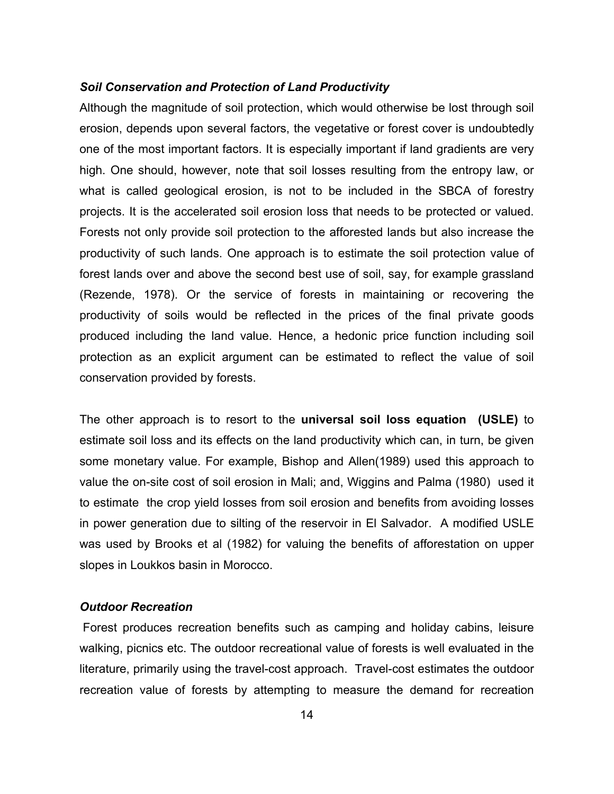## *Soil Conservation and Protection of Land Productivity*

Although the magnitude of soil protection, which would otherwise be lost through soil erosion, depends upon several factors, the vegetative or forest cover is undoubtedly one of the most important factors. It is especially important if land gradients are very high. One should, however, note that soil losses resulting from the entropy law, or what is called geological erosion, is not to be included in the SBCA of forestry projects. It is the accelerated soil erosion loss that needs to be protected or valued. Forests not only provide soil protection to the afforested lands but also increase the productivity of such lands. One approach is to estimate the soil protection value of forest lands over and above the second best use of soil, say, for example grassland (Rezende, 1978). Or the service of forests in maintaining or recovering the productivity of soils would be reflected in the prices of the final private goods produced including the land value. Hence, a hedonic price function including soil protection as an explicit argument can be estimated to reflect the value of soil conservation provided by forests.

The other approach is to resort to the **universal soil loss equation (USLE)** to estimate soil loss and its effects on the land productivity which can, in turn, be given some monetary value. For example, Bishop and Allen(1989) used this approach to value the on-site cost of soil erosion in Mali; and, Wiggins and Palma (1980) used it to estimate the crop yield losses from soil erosion and benefits from avoiding losses in power generation due to silting of the reservoir in El Salvador. A modified USLE was used by Brooks et al (1982) for valuing the benefits of afforestation on upper slopes in Loukkos basin in Morocco.

# *Outdoor Recreation*

 Forest produces recreation benefits such as camping and holiday cabins, leisure walking, picnics etc. The outdoor recreational value of forests is well evaluated in the literature, primarily using the travel-cost approach. Travel-cost estimates the outdoor recreation value of forests by attempting to measure the demand for recreation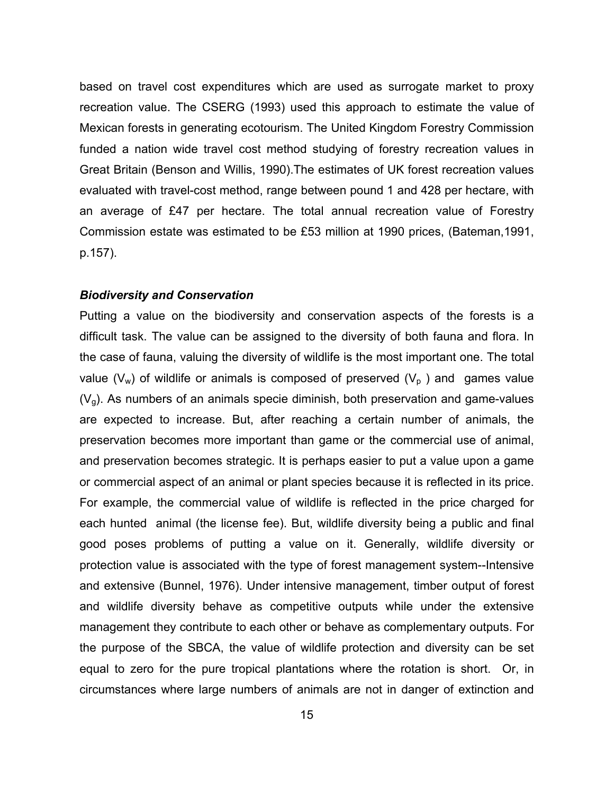based on travel cost expenditures which are used as surrogate market to proxy recreation value. The CSERG (1993) used this approach to estimate the value of Mexican forests in generating ecotourism. The United Kingdom Forestry Commission funded a nation wide travel cost method studying of forestry recreation values in Great Britain (Benson and Willis, 1990).The estimates of UK forest recreation values evaluated with travel-cost method, range between pound 1 and 428 per hectare, with an average of £47 per hectare. The total annual recreation value of Forestry Commission estate was estimated to be £53 million at 1990 prices, (Bateman,1991, p.157).

## *Biodiversity and Conservation*

Putting a value on the biodiversity and conservation aspects of the forests is a difficult task. The value can be assigned to the diversity of both fauna and flora. In the case of fauna, valuing the diversity of wildlife is the most important one. The total value ( $V_w$ ) of wildlife or animals is composed of preserved ( $V_p$ ) and games value  $(V<sub>a</sub>)$ . As numbers of an animals specie diminish, both preservation and game-values are expected to increase. But, after reaching a certain number of animals, the preservation becomes more important than game or the commercial use of animal, and preservation becomes strategic. It is perhaps easier to put a value upon a game or commercial aspect of an animal or plant species because it is reflected in its price. For example, the commercial value of wildlife is reflected in the price charged for each hunted animal (the license fee). But, wildlife diversity being a public and final good poses problems of putting a value on it. Generally, wildlife diversity or protection value is associated with the type of forest management system--Intensive and extensive (Bunnel, 1976). Under intensive management, timber output of forest and wildlife diversity behave as competitive outputs while under the extensive management they contribute to each other or behave as complementary outputs. For the purpose of the SBCA, the value of wildlife protection and diversity can be set equal to zero for the pure tropical plantations where the rotation is short. Or, in circumstances where large numbers of animals are not in danger of extinction and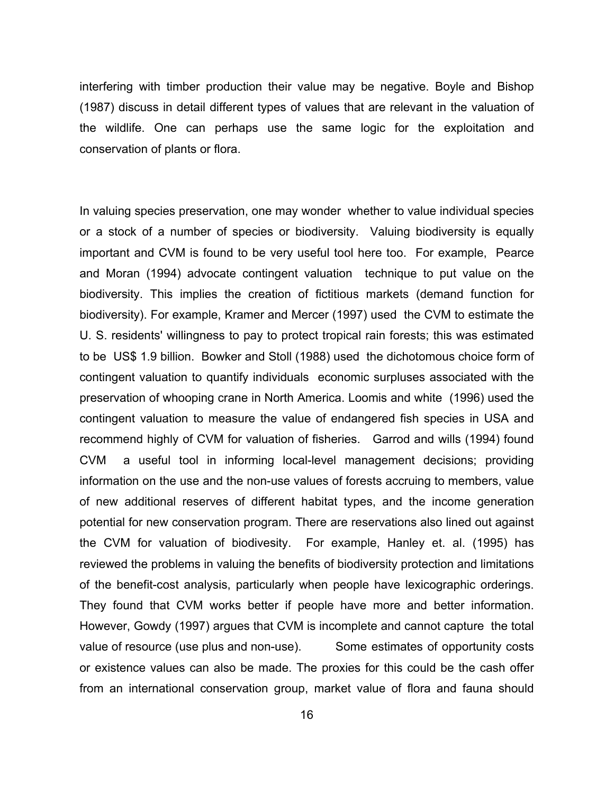interfering with timber production their value may be negative. Boyle and Bishop (1987) discuss in detail different types of values that are relevant in the valuation of the wildlife. One can perhaps use the same logic for the exploitation and conservation of plants or flora.

In valuing species preservation, one may wonder whether to value individual species or a stock of a number of species or biodiversity. Valuing biodiversity is equally important and CVM is found to be very useful tool here too. For example, Pearce and Moran (1994) advocate contingent valuation technique to put value on the biodiversity. This implies the creation of fictitious markets (demand function for biodiversity). For example, Kramer and Mercer (1997) used the CVM to estimate the U. S. residents' willingness to pay to protect tropical rain forests; this was estimated to be US\$ 1.9 billion. Bowker and Stoll (1988) used the dichotomous choice form of contingent valuation to quantify individuals economic surpluses associated with the preservation of whooping crane in North America. Loomis and white (1996) used the contingent valuation to measure the value of endangered fish species in USA and recommend highly of CVM for valuation of fisheries. Garrod and wills (1994) found CVM a useful tool in informing local-level management decisions; providing information on the use and the non-use values of forests accruing to members, value of new additional reserves of different habitat types, and the income generation potential for new conservation program. There are reservations also lined out against the CVM for valuation of biodivesity. For example, Hanley et. al. (1995) has reviewed the problems in valuing the benefits of biodiversity protection and limitations of the benefit-cost analysis, particularly when people have lexicographic orderings. They found that CVM works better if people have more and better information. However, Gowdy (1997) argues that CVM is incomplete and cannot capture the total value of resource (use plus and non-use). Some estimates of opportunity costs or existence values can also be made. The proxies for this could be the cash offer from an international conservation group, market value of flora and fauna should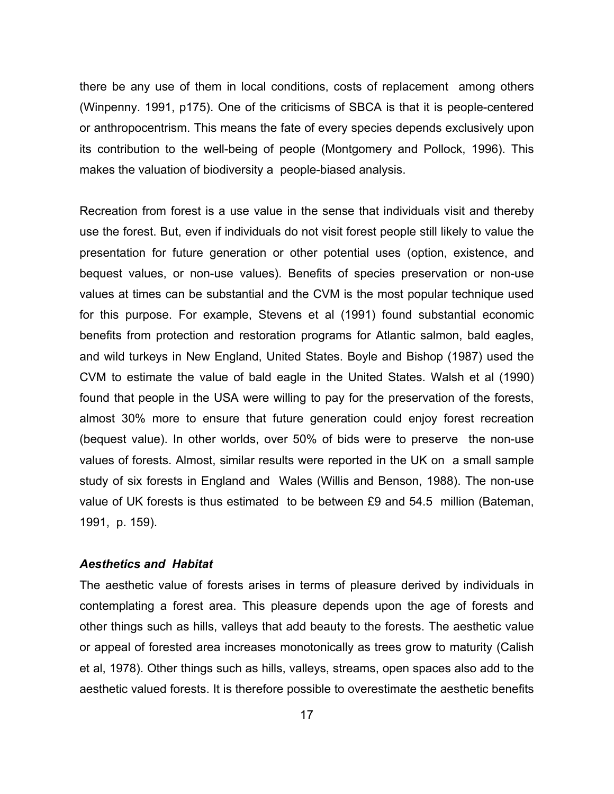there be any use of them in local conditions, costs of replacement among others (Winpenny. 1991, p175). One of the criticisms of SBCA is that it is people-centered or anthropocentrism. This means the fate of every species depends exclusively upon its contribution to the well-being of people (Montgomery and Pollock, 1996). This makes the valuation of biodiversity a people-biased analysis.

Recreation from forest is a use value in the sense that individuals visit and thereby use the forest. But, even if individuals do not visit forest people still likely to value the presentation for future generation or other potential uses (option, existence, and bequest values, or non-use values). Benefits of species preservation or non-use values at times can be substantial and the CVM is the most popular technique used for this purpose. For example, Stevens et al (1991) found substantial economic benefits from protection and restoration programs for Atlantic salmon, bald eagles, and wild turkeys in New England, United States. Boyle and Bishop (1987) used the CVM to estimate the value of bald eagle in the United States. Walsh et al (1990) found that people in the USA were willing to pay for the preservation of the forests, almost 30% more to ensure that future generation could enjoy forest recreation (bequest value). In other worlds, over 50% of bids were to preserve the non-use values of forests. Almost, similar results were reported in the UK on a small sample study of six forests in England and Wales (Willis and Benson, 1988). The non-use value of UK forests is thus estimated to be between £9 and 54.5 million (Bateman, 1991, p. 159).

## *Aesthetics and Habitat*

The aesthetic value of forests arises in terms of pleasure derived by individuals in contemplating a forest area. This pleasure depends upon the age of forests and other things such as hills, valleys that add beauty to the forests. The aesthetic value or appeal of forested area increases monotonically as trees grow to maturity (Calish et al, 1978). Other things such as hills, valleys, streams, open spaces also add to the aesthetic valued forests. It is therefore possible to overestimate the aesthetic benefits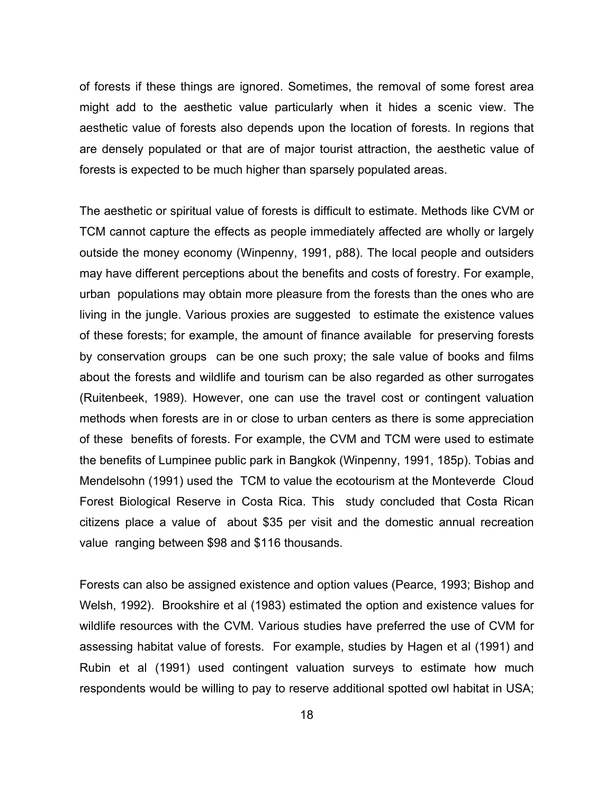of forests if these things are ignored. Sometimes, the removal of some forest area might add to the aesthetic value particularly when it hides a scenic view. The aesthetic value of forests also depends upon the location of forests. In regions that are densely populated or that are of major tourist attraction, the aesthetic value of forests is expected to be much higher than sparsely populated areas.

The aesthetic or spiritual value of forests is difficult to estimate. Methods like CVM or TCM cannot capture the effects as people immediately affected are wholly or largely outside the money economy (Winpenny, 1991, p88). The local people and outsiders may have different perceptions about the benefits and costs of forestry. For example, urban populations may obtain more pleasure from the forests than the ones who are living in the jungle. Various proxies are suggested to estimate the existence values of these forests; for example, the amount of finance available for preserving forests by conservation groups can be one such proxy; the sale value of books and films about the forests and wildlife and tourism can be also regarded as other surrogates (Ruitenbeek, 1989). However, one can use the travel cost or contingent valuation methods when forests are in or close to urban centers as there is some appreciation of these benefits of forests. For example, the CVM and TCM were used to estimate the benefits of Lumpinee public park in Bangkok (Winpenny, 1991, 185p). Tobias and Mendelsohn (1991) used the TCM to value the ecotourism at the Monteverde Cloud Forest Biological Reserve in Costa Rica. This study concluded that Costa Rican citizens place a value of about \$35 per visit and the domestic annual recreation value ranging between \$98 and \$116 thousands.

Forests can also be assigned existence and option values (Pearce, 1993; Bishop and Welsh, 1992). Brookshire et al (1983) estimated the option and existence values for wildlife resources with the CVM. Various studies have preferred the use of CVM for assessing habitat value of forests. For example, studies by Hagen et al (1991) and Rubin et al (1991) used contingent valuation surveys to estimate how much respondents would be willing to pay to reserve additional spotted owl habitat in USA;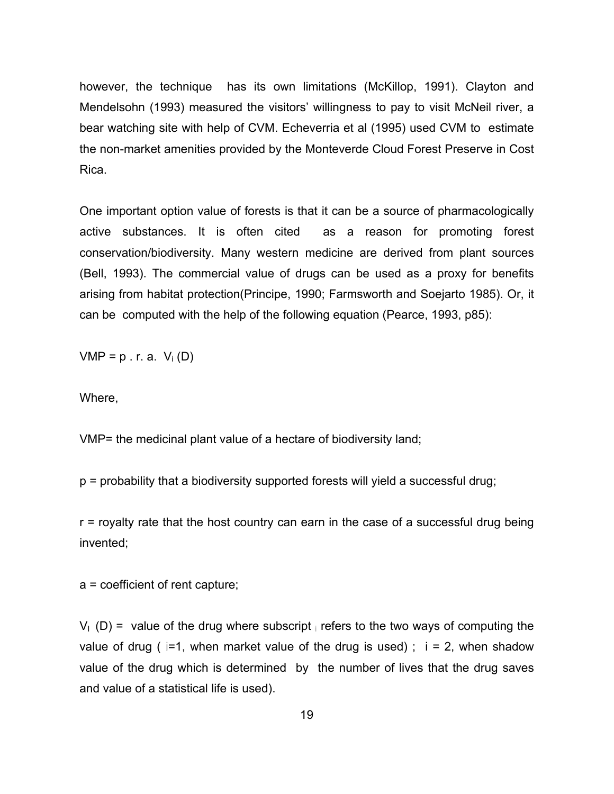however, the technique has its own limitations (McKillop, 1991). Clayton and Mendelsohn (1993) measured the visitors' willingness to pay to visit McNeil river, a bear watching site with help of CVM. Echeverria et al (1995) used CVM to estimate the non-market amenities provided by the Monteverde Cloud Forest Preserve in Cost Rica.

One important option value of forests is that it can be a source of pharmacologically active substances. It is often cited as a reason for promoting forest conservation/biodiversity. Many western medicine are derived from plant sources (Bell, 1993). The commercial value of drugs can be used as a proxy for benefits arising from habitat protection(Principe, 1990; Farmsworth and Soejarto 1985). Or, it can be computed with the help of the following equation (Pearce, 1993, p85):

 $VMP = p \cdot r$ . a.  $V_i(D)$ 

Where,

VMP= the medicinal plant value of a hectare of biodiversity land;

p = probability that a biodiversity supported forests will yield a successful drug;

r = royalty rate that the host country can earn in the case of a successful drug being invented;

a = coefficient of rent capture;

 $V_1$  (D) = value of the drug where subscript ii refers to the two ways of computing the value of drug (  $i=1$ , when market value of the drug is used);  $i = 2$ , when shadow value of the drug which is determined by the number of lives that the drug saves and value of a statistical life is used).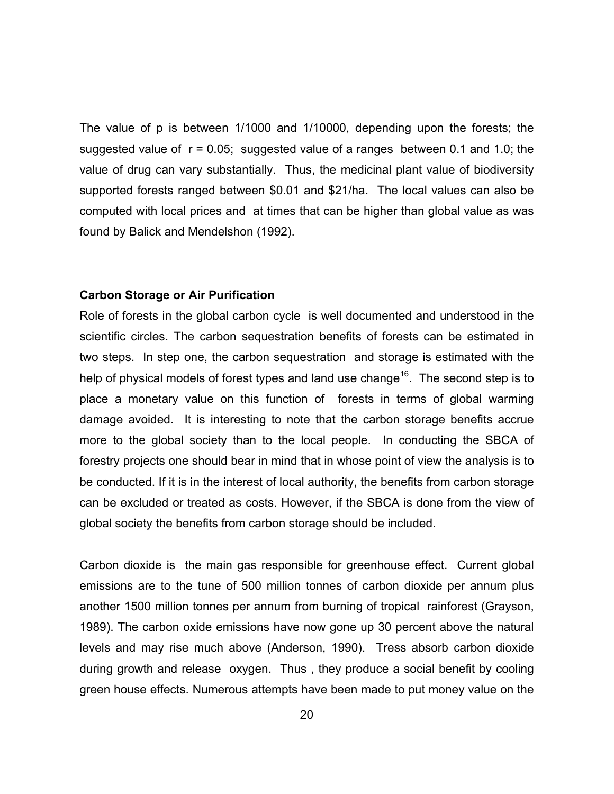The value of p is between 1/1000 and 1/10000, depending upon the forests; the suggested value of  $r = 0.05$ ; suggested value of a ranges between 0.1 and 1.0; the value of drug can vary substantially. Thus, the medicinal plant value of biodiversity supported forests ranged between \$0.01 and \$21/ha. The local values can also be computed with local prices and at times that can be higher than global value as was found by Balick and Mendelshon (1992).

#### **Carbon Storage or Air Purification**

Role of forests in the global carbon cycle is well documented and understood in the scientific circles. The carbon sequestration benefits of forests can be estimated in two steps. In step one, the carbon sequestration and storage is estimated with the help of physical models of forest types and land use change<sup>16</sup>. The second step is to place a monetary value on this function of forests in terms of global warming damage avoided. It is interesting to note that the carbon storage benefits accrue more to the global society than to the local people. In conducting the SBCA of forestry projects one should bear in mind that in whose point of view the analysis is to be conducted. If it is in the interest of local authority, the benefits from carbon storage can be excluded or treated as costs. However, if the SBCA is done from the view of global society the benefits from carbon storage should be included.

Carbon dioxide is the main gas responsible for greenhouse effect. Current global emissions are to the tune of 500 million tonnes of carbon dioxide per annum plus another 1500 million tonnes per annum from burning of tropical rainforest (Grayson, 1989). The carbon oxide emissions have now gone up 30 percent above the natural levels and may rise much above (Anderson, 1990). Tress absorb carbon dioxide during growth and release oxygen. Thus , they produce a social benefit by cooling green house effects. Numerous attempts have been made to put money value on the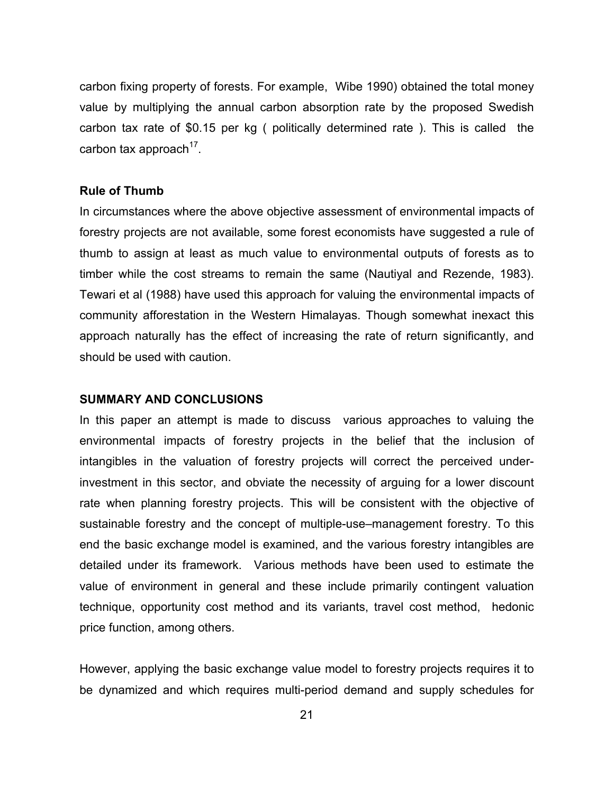carbon fixing property of forests. For example, Wibe 1990) obtained the total money value by multiplying the annual carbon absorption rate by the proposed Swedish carbon tax rate of \$0.15 per kg ( politically determined rate ). This is called the carbon tax approach $17$ .

## **Rule of Thumb**

In circumstances where the above objective assessment of environmental impacts of forestry projects are not available, some forest economists have suggested a rule of thumb to assign at least as much value to environmental outputs of forests as to timber while the cost streams to remain the same (Nautiyal and Rezende, 1983). Tewari et al (1988) have used this approach for valuing the environmental impacts of community afforestation in the Western Himalayas. Though somewhat inexact this approach naturally has the effect of increasing the rate of return significantly, and should be used with caution.

# **SUMMARY AND CONCLUSIONS**

In this paper an attempt is made to discuss various approaches to valuing the environmental impacts of forestry projects in the belief that the inclusion of intangibles in the valuation of forestry projects will correct the perceived underinvestment in this sector, and obviate the necessity of arguing for a lower discount rate when planning forestry projects. This will be consistent with the objective of sustainable forestry and the concept of multiple-use–management forestry. To this end the basic exchange model is examined, and the various forestry intangibles are detailed under its framework. Various methods have been used to estimate the value of environment in general and these include primarily contingent valuation technique, opportunity cost method and its variants, travel cost method, hedonic price function, among others.

However, applying the basic exchange value model to forestry projects requires it to be dynamized and which requires multi-period demand and supply schedules for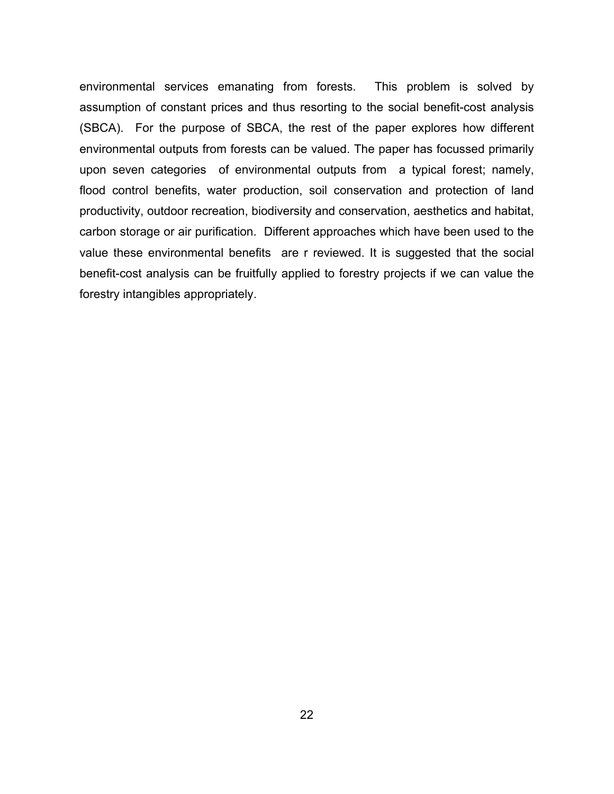environmental services emanating from forests. This problem is solved by assumption of constant prices and thus resorting to the social benefit-cost analysis (SBCA). For the purpose of SBCA, the rest of the paper explores how different environmental outputs from forests can be valued. The paper has focussed primarily upon seven categories of environmental outputs from a typical forest; namely, flood control benefits, water production, soil conservation and protection of land productivity, outdoor recreation, biodiversity and conservation, aesthetics and habitat, carbon storage or air purification. Different approaches which have been used to the value these environmental benefits are r reviewed. It is suggested that the social benefit-cost analysis can be fruitfully applied to forestry projects if we can value the forestry intangibles appropriately.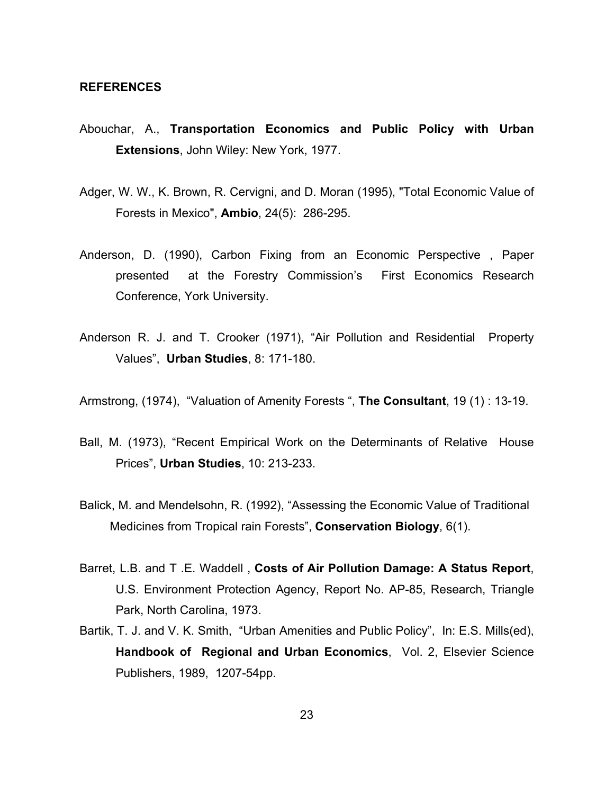#### **REFERENCES**

- Abouchar, A., **Transportation Economics and Public Policy with Urban Extensions**, John Wiley: New York, 1977.
- Adger, W. W., K. Brown, R. Cervigni, and D. Moran (1995), "Total Economic Value of Forests in Mexico", **Ambio**, 24(5): 286-295.
- Anderson, D. (1990), Carbon Fixing from an Economic Perspective , Paper presented at the Forestry Commission's First Economics Research Conference, York University.
- Anderson R. J. and T. Crooker (1971), "Air Pollution and Residential Property Values", **Urban Studies**, 8: 171-180.

Armstrong, (1974), "Valuation of Amenity Forests ", **The Consultant**, 19 (1) : 13-19.

- Ball, M. (1973), "Recent Empirical Work on the Determinants of Relative House Prices", **Urban Studies**, 10: 213-233.
- Balick, M. and Mendelsohn, R. (1992), "Assessing the Economic Value of Traditional Medicines from Tropical rain Forests", **Conservation Biology**, 6(1).
- Barret, L.B. and T .E. Waddell , **Costs of Air Pollution Damage: A Status Report**, U.S. Environment Protection Agency, Report No. AP-85, Research, Triangle Park, North Carolina, 1973.
- Bartik, T. J. and V. K. Smith, "Urban Amenities and Public Policy", In: E.S. Mills(ed), **Handbook of Regional and Urban Economics**, Vol. 2, Elsevier Science Publishers, 1989, 1207-54pp.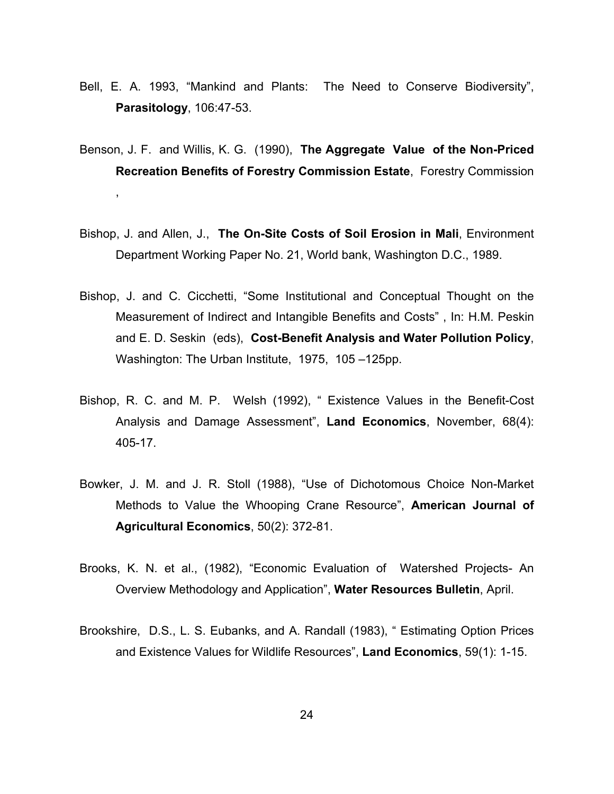- Bell, E. A. 1993, "Mankind and Plants: The Need to Conserve Biodiversity", **Parasitology**, 106:47-53.
- Benson, J. F. and Willis, K. G. (1990), **The Aggregate Value of the Non-Priced Recreation Benefits of Forestry Commission Estate**, Forestry Commission ,
- Bishop, J. and Allen, J., **The On-Site Costs of Soil Erosion in Mali**, Environment Department Working Paper No. 21, World bank, Washington D.C., 1989.
- Bishop, J. and C. Cicchetti, "Some Institutional and Conceptual Thought on the Measurement of Indirect and Intangible Benefits and Costs" , In: H.M. Peskin and E. D. Seskin (eds), **Cost-Benefit Analysis and Water Pollution Policy**, Washington: The Urban Institute, 1975, 105 –125pp.
- Bishop, R. C. and M. P. Welsh (1992), " Existence Values in the Benefit-Cost Analysis and Damage Assessment", **Land Economics**, November, 68(4): 405-17.
- Bowker, J. M. and J. R. Stoll (1988), "Use of Dichotomous Choice Non-Market Methods to Value the Whooping Crane Resource", **American Journal of Agricultural Economics**, 50(2): 372-81.
- Brooks, K. N. et al., (1982), "Economic Evaluation of Watershed Projects- An Overview Methodology and Application", **Water Resources Bulletin**, April.
- Brookshire, D.S., L. S. Eubanks, and A. Randall (1983), " Estimating Option Prices and Existence Values for Wildlife Resources", **Land Economics**, 59(1): 1-15.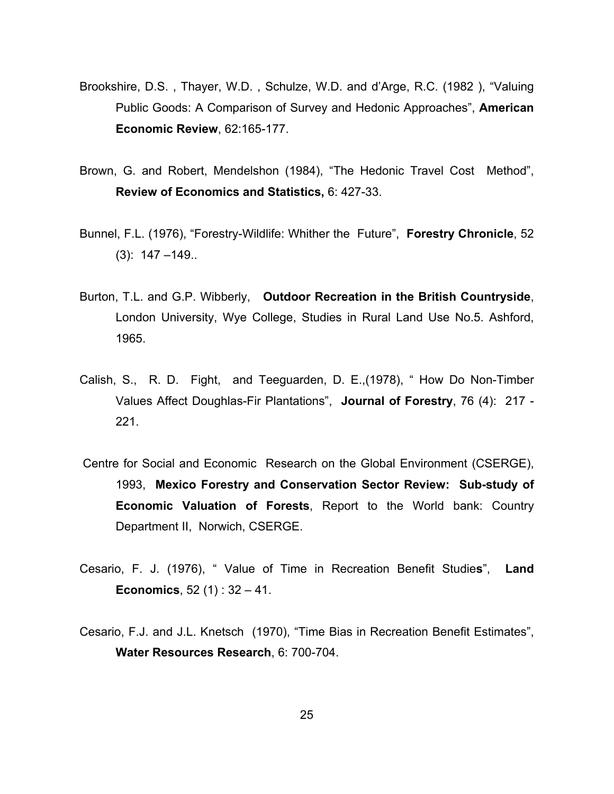- Brookshire, D.S. , Thayer, W.D. , Schulze, W.D. and d'Arge, R.C. (1982 ), "Valuing Public Goods: A Comparison of Survey and Hedonic Approaches", **American Economic Review**, 62:165-177.
- Brown, G. and Robert, Mendelshon (1984), "The Hedonic Travel Cost Method", **Review of Economics and Statistics,** 6: 427-33.
- Bunnel, F.L. (1976), "Forestry-Wildlife: Whither the Future", **Forestry Chronicle**, 52 (3): 147 –149..
- Burton, T.L. and G.P. Wibberly, **Outdoor Recreation in the British Countryside**, London University, Wye College, Studies in Rural Land Use No.5. Ashford, 1965.
- Calish, S., R. D. Fight, and Teeguarden, D. E.,(1978), " How Do Non-Timber Values Affect Doughlas-Fir Plantations", **Journal of Forestry**, 76 (4): 217 - 221.
- Centre for Social and Economic Research on the Global Environment (CSERGE), 1993, **Mexico Forestry and Conservation Sector Review: Sub-study of Economic Valuation of Forests**, Report to the World bank: Country Department II, Norwich, CSERGE.
- Cesario, F. J. (1976), " Value of Time in Recreation Benefit Studie**s**", **Land Economics**, 52 (1) : 32 – 41.
- Cesario, F.J. and J.L. Knetsch (1970), "Time Bias in Recreation Benefit Estimates", **Water Resources Research**, 6: 700-704.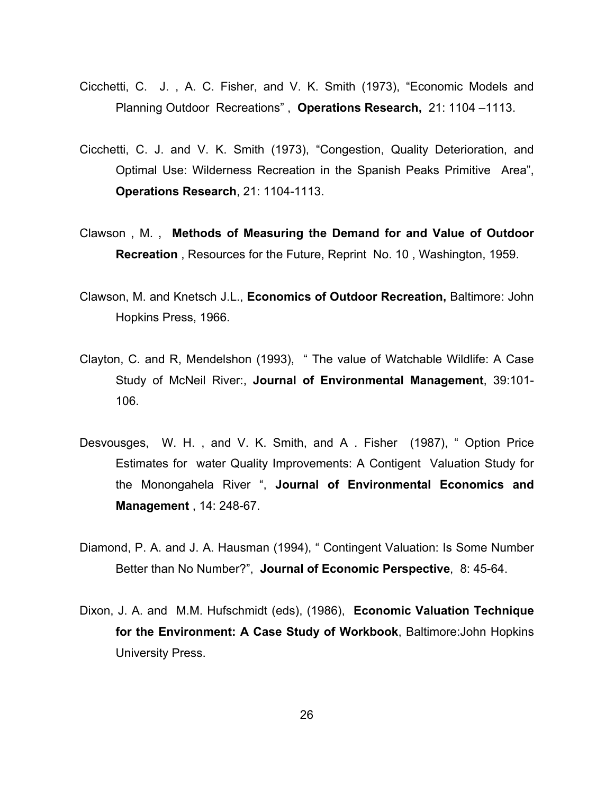- Cicchetti, C. J. , A. C. Fisher, and V. K. Smith (1973), "Economic Models and Planning Outdoor Recreations" , **Operations Research,** 21: 1104 –1113.
- Cicchetti, C. J. and V. K. Smith (1973), "Congestion, Quality Deterioration, and Optimal Use: Wilderness Recreation in the Spanish Peaks Primitive Area", **Operations Research**, 21: 1104-1113.
- Clawson , M. , **Methods of Measuring the Demand for and Value of Outdoor Recreation** , Resources for the Future, Reprint No. 10 , Washington, 1959.
- Clawson, M. and Knetsch J.L., **Economics of Outdoor Recreation,** Baltimore: John Hopkins Press, 1966.
- Clayton, C. and R, Mendelshon (1993), " The value of Watchable Wildlife: A Case Study of McNeil River:, **Journal of Environmental Management**, 39:101- 106.
- Desvousges, W. H. , and V. K. Smith, and A . Fisher (1987), " Option Price Estimates for water Quality Improvements: A Contigent Valuation Study for the Monongahela River ", **Journal of Environmental Economics and Management** , 14: 248-67.
- Diamond, P. A. and J. A. Hausman (1994), " Contingent Valuation: Is Some Number Better than No Number?", **Journal of Economic Perspective**, 8: 45-64.
- Dixon, J. A. and M.M. Hufschmidt (eds), (1986), **Economic Valuation Technique for the Environment: A Case Study of Workbook**, Baltimore:John Hopkins University Press.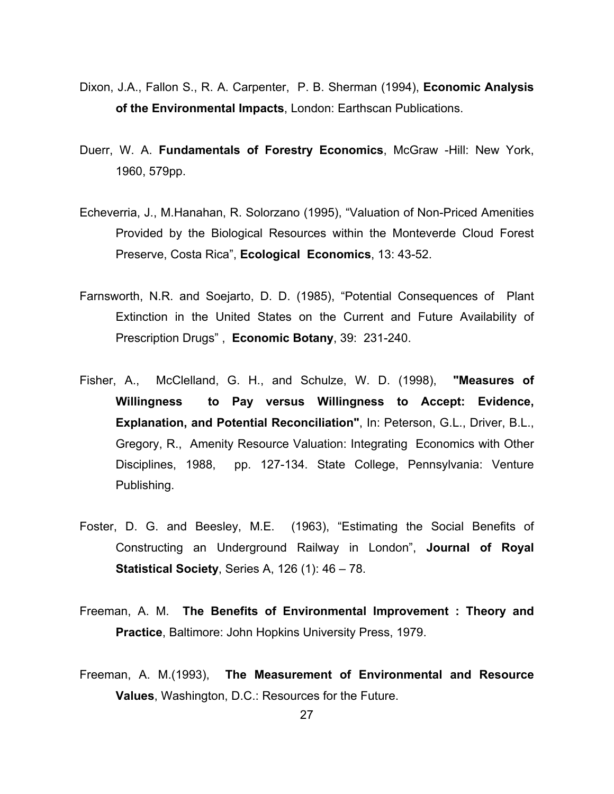- Dixon, J.A., Fallon S., R. A. Carpenter, P. B. Sherman (1994), **Economic Analysis of the Environmental Impacts**, London: Earthscan Publications.
- Duerr, W. A. **Fundamentals of Forestry Economics**, McGraw -Hill: New York, 1960, 579pp.
- Echeverria, J., M.Hanahan, R. Solorzano (1995), "Valuation of Non-Priced Amenities Provided by the Biological Resources within the Monteverde Cloud Forest Preserve, Costa Rica", **Ecological Economics**, 13: 43-52.
- Farnsworth, N.R. and Soejarto, D. D. (1985), "Potential Consequences of Plant Extinction in the United States on the Current and Future Availability of Prescription Drugs" , **Economic Botany**, 39: 231-240.
- Fisher, A., McClelland, G. H., and Schulze, W. D. (1998), **"Measures of Willingness to Pay versus Willingness to Accept: Evidence, Explanation, and Potential Reconciliation"**, In: Peterson, G.L., Driver, B.L., Gregory, R., Amenity Resource Valuation: Integrating Economics with Other Disciplines, 1988, pp. 127-134. State College, Pennsylvania: Venture Publishing.
- Foster, D. G. and Beesley, M.E. (1963), "Estimating the Social Benefits of Constructing an Underground Railway in London", **Journal of Royal Statistical Society**, Series A, 126 (1): 46 – 78.
- Freeman, A. M. **The Benefits of Environmental Improvement : Theory and Practice**, Baltimore: John Hopkins University Press, 1979.
- Freeman, A. M.(1993), **The Measurement of Environmental and Resource Values**, Washington, D.C.: Resources for the Future.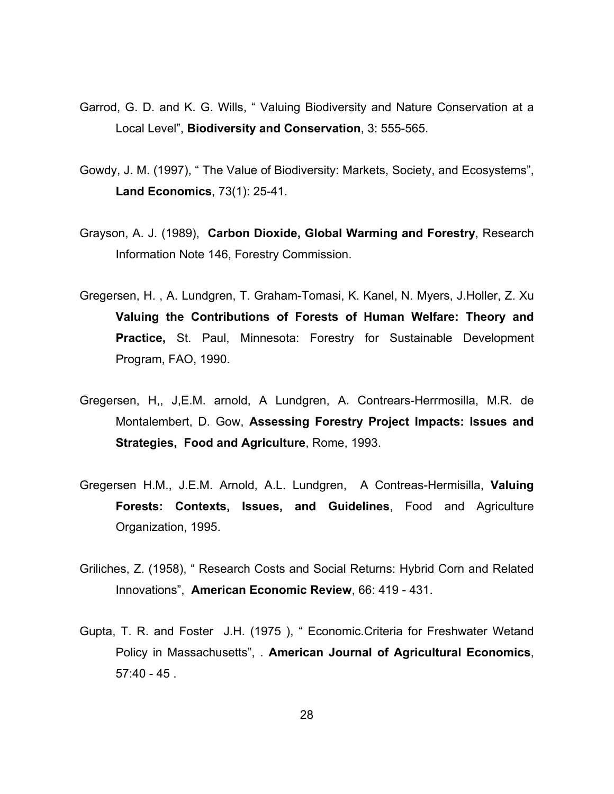- Garrod, G. D. and K. G. Wills, " Valuing Biodiversity and Nature Conservation at a Local Level", **Biodiversity and Conservation**, 3: 555-565.
- Gowdy, J. M. (1997), " The Value of Biodiversity: Markets, Society, and Ecosystems", **Land Economics**, 73(1): 25-41.
- Grayson, A. J. (1989), **Carbon Dioxide, Global Warming and Forestry**, Research Information Note 146, Forestry Commission.
- Gregersen, H. , A. Lundgren, T. Graham-Tomasi, K. Kanel, N. Myers, J.Holler, Z. Xu **Valuing the Contributions of Forests of Human Welfare: Theory and Practice,** St. Paul, Minnesota: Forestry for Sustainable Development Program, FAO, 1990.
- Gregersen, H,, J,E.M. arnold, A Lundgren, A. Contrears-Herrmosilla, M.R. de Montalembert, D. Gow, **Assessing Forestry Project Impacts: Issues and Strategies, Food and Agriculture**, Rome, 1993.
- Gregersen H.M., J.E.M. Arnold, A.L. Lundgren, A Contreas-Hermisilla, **Valuing Forests: Contexts, Issues, and Guidelines**, Food and Agriculture Organization, 1995.
- Griliches, Z. (1958), " Research Costs and Social Returns: Hybrid Corn and Related Innovations", **American Economic Review**, 66: 419 - 431.
- Gupta, T. R. and Foster J.H. (1975 ), " Economic.Criteria for Freshwater Wetand Policy in Massachusetts", . **American Journal of Agricultural Economics**, 57:40 - 45 .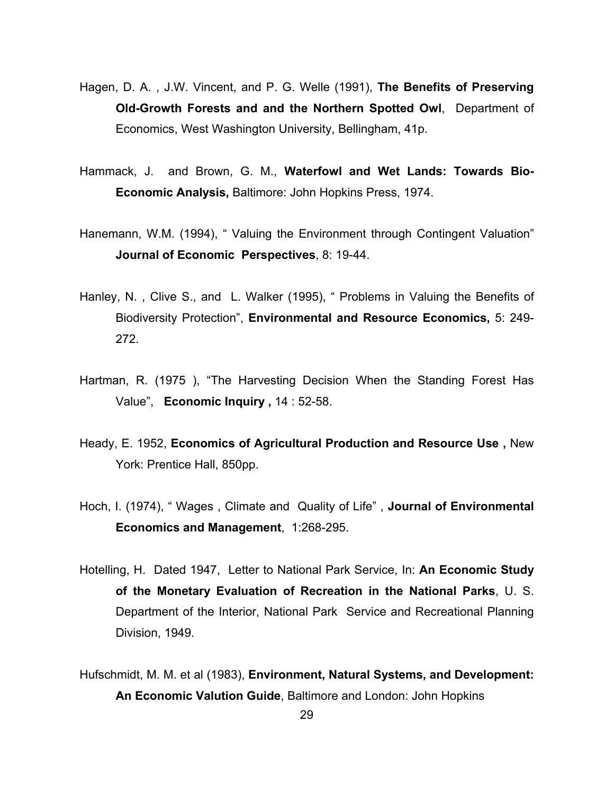- Hagen, D. A. , J.W. Vincent, and P. G. Welle (1991), **The Benefits of Preserving Old-Growth Forests and and the Northern Spotted Owl**, Department of Economics, West Washington University, Bellingham, 41p.
- Hammack, J. and Brown, G. M., **Waterfowl and Wet Lands: Towards Bio-Economic Analysis,** Baltimore: John Hopkins Press, 1974.
- Hanemann, W.M. (1994), " Valuing the Environment through Contingent Valuation" **Journal of Economic Perspectives**, 8: 19-44.
- Hanley, N. , Clive S., and L. Walker (1995), " Problems in Valuing the Benefits of Biodiversity Protection", **Environmental and Resource Economics,** 5: 249- 272.
- Hartman, R. (1975 ), "The Harvesting Decision When the Standing Forest Has Value", **Economic Inquiry ,** 14 : 52-58.
- Heady, E. 1952, **Economics of Agricultural Production and Resource Use ,** New York: Prentice Hall, 850pp.
- Hoch, I. (1974), " Wages , Climate and Quality of Life" , **Journal of Environmental Economics and Management**, 1:268-295.
- Hotelling, H. Dated 1947, Letter to National Park Service, In: **An Economic Study of the Monetary Evaluation of Recreation in the National Parks**, U. S. Department of the Interior, National Park Service and Recreational Planning Division, 1949.
- Hufschmidt, M. M. et al (1983), **Environment, Natural Systems, and Development: An Economic Valution Guide**, Baltimore and London: John Hopkins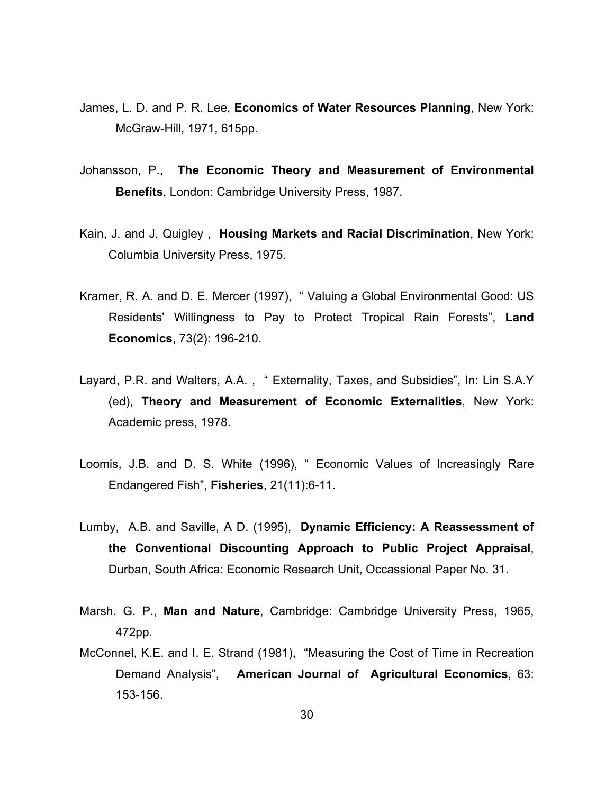- James, L. D. and P. R. Lee, **Economics of Water Resources Planning**, New York: McGraw-Hill, 1971, 615pp.
- Johansson, P., **The Economic Theory and Measurement of Environmental Benefits**, London: Cambridge University Press, 1987.
- Kain, J. and J. Quigley , **Housing Markets and Racial Discrimination**, New York: Columbia University Press, 1975.
- Kramer, R. A. and D. E. Mercer (1997), " Valuing a Global Environmental Good: US Residents' Willingness to Pay to Protect Tropical Rain Forests", **Land Economics**, 73(2): 196-210.
- Layard, P.R. and Walters, A.A. , " Externality, Taxes, and Subsidies", In: Lin S.A.Y (ed), **Theory and Measurement of Economic Externalities**, New York: Academic press, 1978.
- Loomis, J.B. and D. S. White (1996), " Economic Values of Increasingly Rare Endangered Fish", **Fisheries**, 21(11):6-11.
- Lumby, A.B. and Saville, A D. (1995), **Dynamic Efficiency: A Reassessment of the Conventional Discounting Approach to Public Project Appraisal**, Durban, South Africa: Economic Research Unit, Occassional Paper No. 31.
- Marsh. G. P., **Man and Nature**, Cambridge: Cambridge University Press, 1965, 472pp.
- McConnel, K.E. and I. E. Strand (1981), "Measuring the Cost of Time in Recreation Demand Analysis", **American Journal of Agricultural Economics**, 63: 153-156.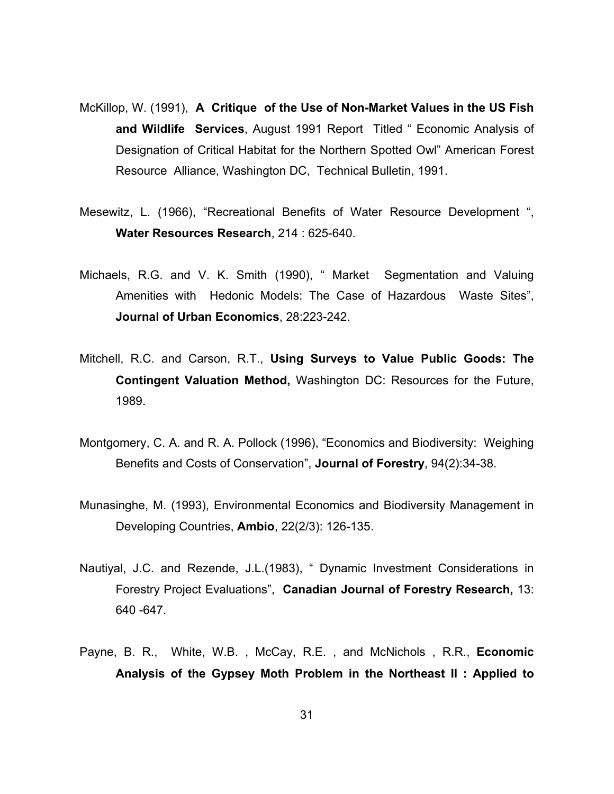- McKillop, W. (1991), **A Critique of the Use of Non-Market Values in the US Fish and Wildlife Services**, August 1991 Report Titled " Economic Analysis of Designation of Critical Habitat for the Northern Spotted Owl" American Forest Resource Alliance, Washington DC, Technical Bulletin, 1991.
- Mesewitz, L. (1966), "Recreational Benefits of Water Resource Development ", **Water Resources Research**, 214 : 625-640.
- Michaels, R.G. and V. K. Smith (1990), " Market Segmentation and Valuing Amenities with Hedonic Models: The Case of Hazardous Waste Sites", **Journal of Urban Economics**, 28:223-242.
- Mitchell, R.C. and Carson, R.T., **Using Surveys to Value Public Goods: The Contingent Valuation Method,** Washington DC: Resources for the Future, 1989.
- Montgomery, C. A. and R. A. Pollock (1996), "Economics and Biodiversity: Weighing Benefits and Costs of Conservation", **Journal of Forestry**, 94(2):34-38.
- Munasinghe, M. (1993), Environmental Economics and Biodiversity Management in Developing Countries, **Ambio**, 22(2/3): 126-135.
- Nautiyal, J.C. and Rezende, J.L.(1983), " Dynamic Investment Considerations in Forestry Project Evaluations", **Canadian Journal of Forestry Research,** 13: 640 -647.
- Payne, B. R., White, W.B. , McCay, R.E. , and McNichols , R.R., **Economic Analysis of the Gypsey Moth Problem in the Northeast II : Applied to**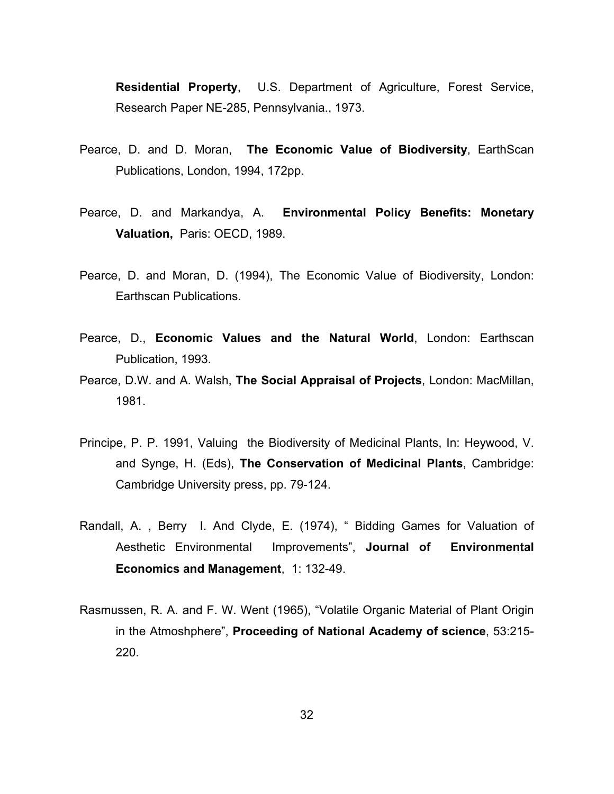**Residential Property**, U.S. Department of Agriculture, Forest Service, Research Paper NE-285, Pennsylvania., 1973.

- Pearce, D. and D. Moran, **The Economic Value of Biodiversity**, EarthScan Publications, London, 1994, 172pp.
- Pearce, D. and Markandya, A. **Environmental Policy Benefits: Monetary Valuation,** Paris: OECD, 1989.
- Pearce, D. and Moran, D. (1994), The Economic Value of Biodiversity, London: Earthscan Publications.
- Pearce, D., **Economic Values and the Natural World**, London: Earthscan Publication, 1993.
- Pearce, D.W. and A. Walsh, **The Social Appraisal of Projects**, London: MacMillan, 1981.
- Principe, P. P. 1991, Valuing the Biodiversity of Medicinal Plants, In: Heywood, V. and Synge, H. (Eds), **The Conservation of Medicinal Plants**, Cambridge: Cambridge University press, pp. 79-124.
- Randall, A. , Berry I. And Clyde, E. (1974), " Bidding Games for Valuation of Aesthetic Environmental Improvements", **Journal of Environmental Economics and Management**, 1: 132-49.
- Rasmussen, R. A. and F. W. Went (1965), "Volatile Organic Material of Plant Origin in the Atmoshphere", **Proceeding of National Academy of science**, 53:215- 220.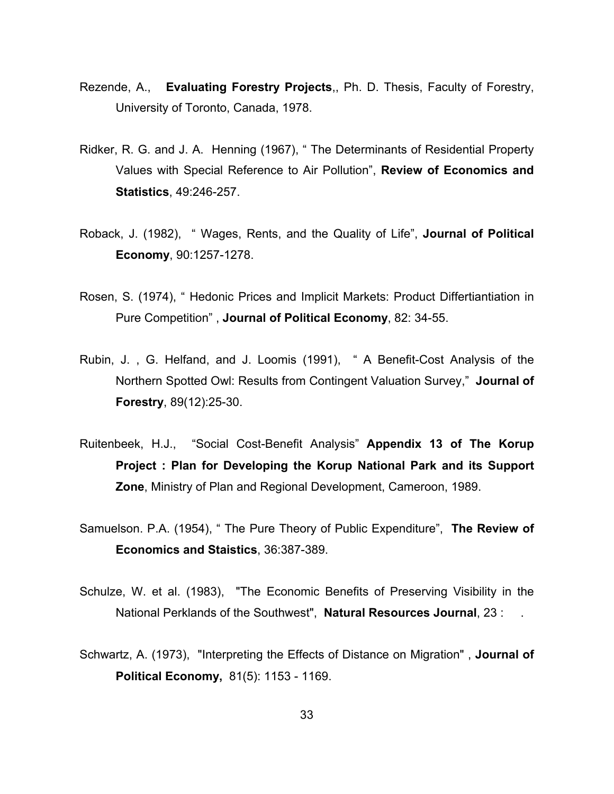- Rezende, A., **Evaluating Forestry Projects**,, Ph. D. Thesis, Faculty of Forestry, University of Toronto, Canada, 1978.
- Ridker, R. G. and J. A. Henning (1967), " The Determinants of Residential Property Values with Special Reference to Air Pollution", **Review of Economics and Statistics**, 49:246-257.
- Roback, J. (1982), " Wages, Rents, and the Quality of Life", **Journal of Political Economy**, 90:1257-1278.
- Rosen, S. (1974), " Hedonic Prices and Implicit Markets: Product Differtiantiation in Pure Competition" , **Journal of Political Economy**, 82: 34-55.
- Rubin, J. , G. Helfand, and J. Loomis (1991), " A Benefit-Cost Analysis of the Northern Spotted Owl: Results from Contingent Valuation Survey," **Journal of Forestry**, 89(12):25-30.
- Ruitenbeek, H.J., "Social Cost-Benefit Analysis" **Appendix 13 of The Korup Project : Plan for Developing the Korup National Park and its Support Zone**, Ministry of Plan and Regional Development, Cameroon, 1989.
- Samuelson. P.A. (1954), " The Pure Theory of Public Expenditure", **The Review of Economics and Staistics**, 36:387-389.
- Schulze, W. et al. (1983), "The Economic Benefits of Preserving Visibility in the National Perklands of the Southwest", **Natural Resources Journal**, 23 : .
- Schwartz, A. (1973), "Interpreting the Effects of Distance on Migration" , **Journal of Political Economy,** 81(5): 1153 - 1169.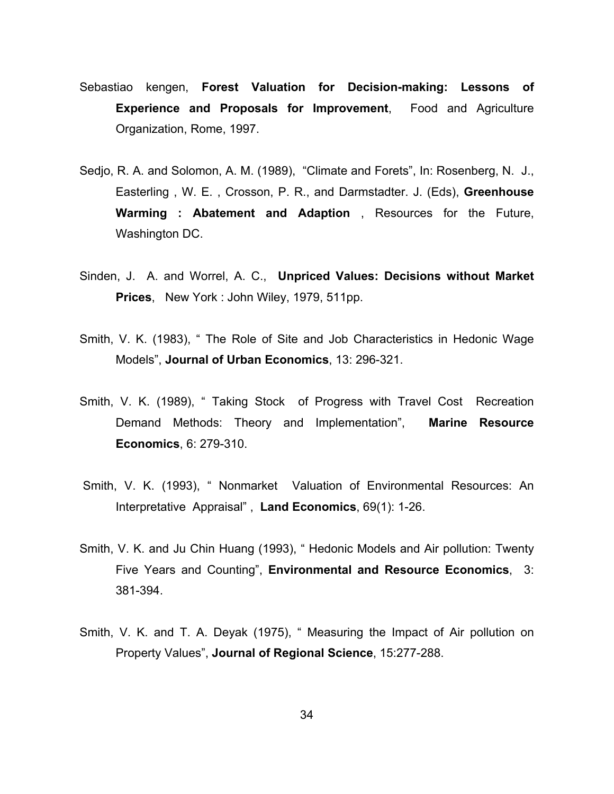- Sebastiao kengen, **Forest Valuation for Decision-making: Lessons of Experience and Proposals for Improvement**, Food and Agriculture Organization, Rome, 1997.
- Sedjo, R. A. and Solomon, A. M. (1989), "Climate and Forets", In: Rosenberg, N. J., Easterling , W. E. , Crosson, P. R., and Darmstadter. J. (Eds), **Greenhouse Warming : Abatement and Adaption** , Resources for the Future, Washington DC.
- Sinden, J. A. and Worrel, A. C., **Unpriced Values: Decisions without Market Prices**, New York : John Wiley, 1979, 511pp.
- Smith, V. K. (1983), " The Role of Site and Job Characteristics in Hedonic Wage Models", **Journal of Urban Economics**, 13: 296-321.
- Smith, V. K. (1989), " Taking Stock of Progress with Travel Cost Recreation Demand Methods: Theory and Implementation", **Marine Resource Economics**, 6: 279-310.
- Smith, V. K. (1993), " Nonmarket Valuation of Environmental Resources: An Interpretative Appraisal" , **Land Economics**, 69(1): 1-26.
- Smith, V. K. and Ju Chin Huang (1993), "Hedonic Models and Air pollution: Twenty Five Years and Counting", **Environmental and Resource Economics**, 3: 381-394.
- Smith, V. K. and T. A. Deyak (1975), " Measuring the Impact of Air pollution on Property Values", **Journal of Regional Science**, 15:277-288.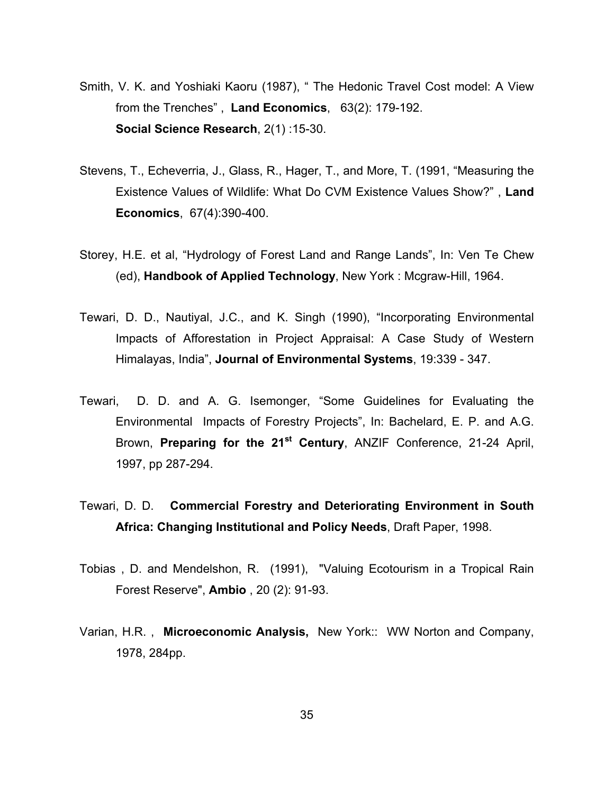- Smith, V. K. and Yoshiaki Kaoru (1987), " The Hedonic Travel Cost model: A View from the Trenches" , **Land Economics**, 63(2): 179-192.  **Social Science Research**, 2(1) :15-30.
- Stevens, T., Echeverria, J., Glass, R., Hager, T., and More, T. (1991, "Measuring the Existence Values of Wildlife: What Do CVM Existence Values Show?" , **Land Economics**, 67(4):390-400.
- Storey, H.E. et al, "Hydrology of Forest Land and Range Lands", In: Ven Te Chew (ed), **Handbook of Applied Technology**, New York : Mcgraw-Hill, 1964.
- Tewari, D. D., Nautiyal, J.C., and K. Singh (1990), "Incorporating Environmental Impacts of Afforestation in Project Appraisal: A Case Study of Western Himalayas, India", **Journal of Environmental Systems**, 19:339 - 347.
- Tewari, D. D. and A. G. Isemonger, "Some Guidelines for Evaluating the Environmental Impacts of Forestry Projects", In: Bachelard, E. P. and A.G. Brown, **Preparing for the 21st Century**, ANZIF Conference, 21-24 April, 1997, pp 287-294.
- Tewari, D. D. **Commercial Forestry and Deteriorating Environment in South Africa: Changing Institutional and Policy Needs**, Draft Paper, 1998.
- Tobias , D. and Mendelshon, R. (1991), "Valuing Ecotourism in a Tropical Rain Forest Reserve", **Ambio** , 20 (2): 91-93.
- Varian, H.R. , **Microeconomic Analysis,** New York:: WW Norton and Company, 1978, 284pp.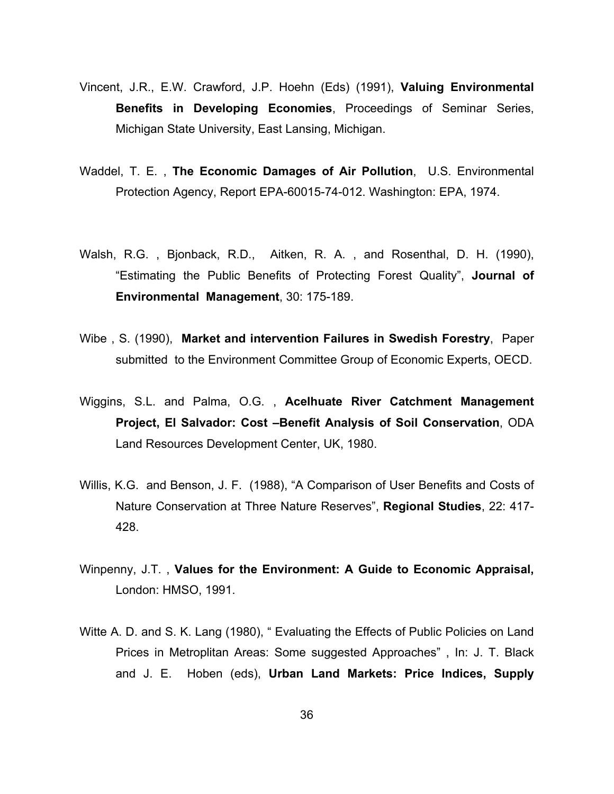- Vincent, J.R., E.W. Crawford, J.P. Hoehn (Eds) (1991), **Valuing Environmental Benefits in Developing Economies**, Proceedings of Seminar Series, Michigan State University, East Lansing, Michigan.
- Waddel, T. E. , **The Economic Damages of Air Pollution**, U.S. Environmental Protection Agency, Report EPA-60015-74-012. Washington: EPA, 1974.
- Walsh, R.G. , Bjonback, R.D., Aitken, R. A. , and Rosenthal, D. H. (1990), "Estimating the Public Benefits of Protecting Forest Quality", **Journal of Environmental Management**, 30: 175-189.
- Wibe , S. (1990), **Market and intervention Failures in Swedish Forestry**, Paper submitted to the Environment Committee Group of Economic Experts, OECD.
- Wiggins, S.L. and Palma, O.G. , **Acelhuate River Catchment Management Project, El Salvador: Cost –Benefit Analysis of Soil Conservation**, ODA Land Resources Development Center, UK, 1980.
- Willis, K.G. and Benson, J. F. (1988), "A Comparison of User Benefits and Costs of Nature Conservation at Three Nature Reserves", **Regional Studies**, 22: 417- 428.
- Winpenny, J.T. , **Values for the Environment: A Guide to Economic Appraisal,** London: HMSO, 1991.
- Witte A. D. and S. K. Lang (1980), " Evaluating the Effects of Public Policies on Land Prices in Metroplitan Areas: Some suggested Approaches" , In: J. T. Black and J. E. Hoben (eds), **Urban Land Markets: Price Indices, Supply**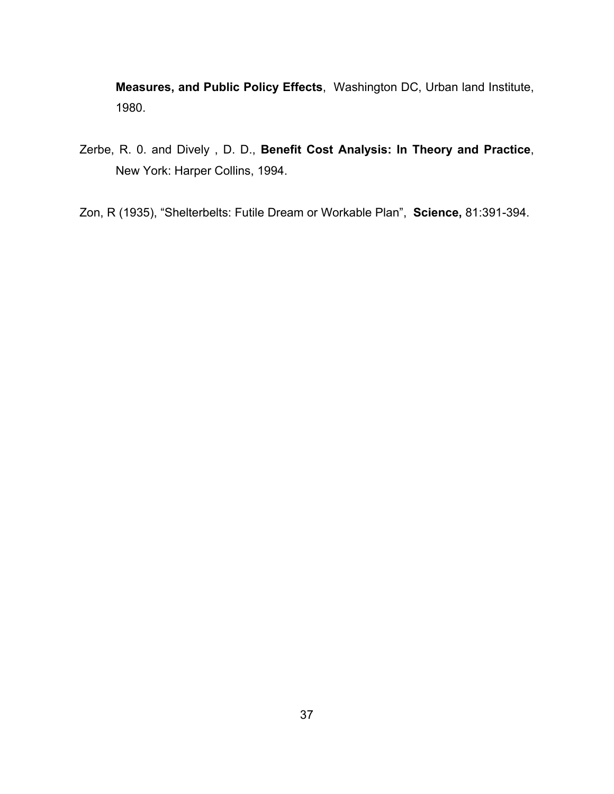**Measures, and Public Policy Effects**, Washington DC, Urban land Institute, 1980.

- Zerbe, R. 0. and Dively , D. D., **Benefit Cost Analysis: In Theory and Practice**, New York: Harper Collins, 1994.
- Zon, R (1935), "Shelterbelts: Futile Dream or Workable Plan", **Science,** 81:391-394.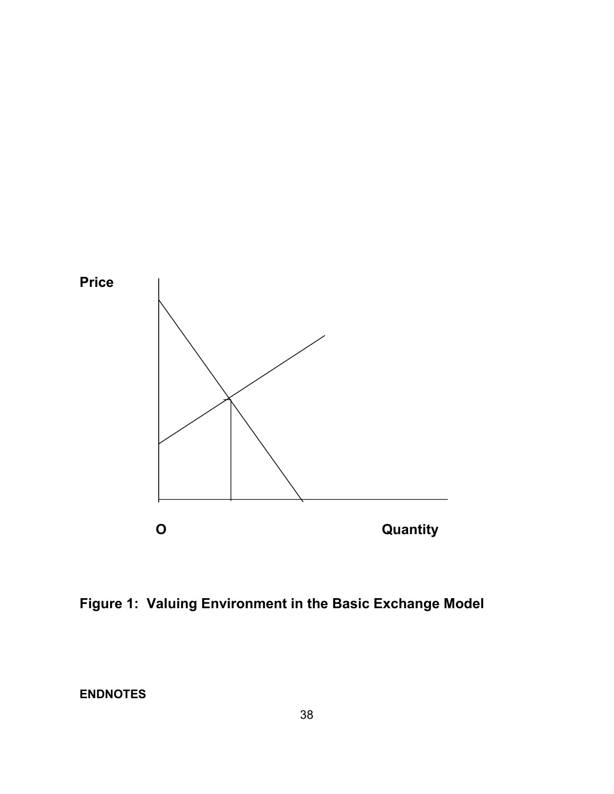

**Figure 1: Valuing Environment in the Basic Exchange Model** 

**ENDNOTES**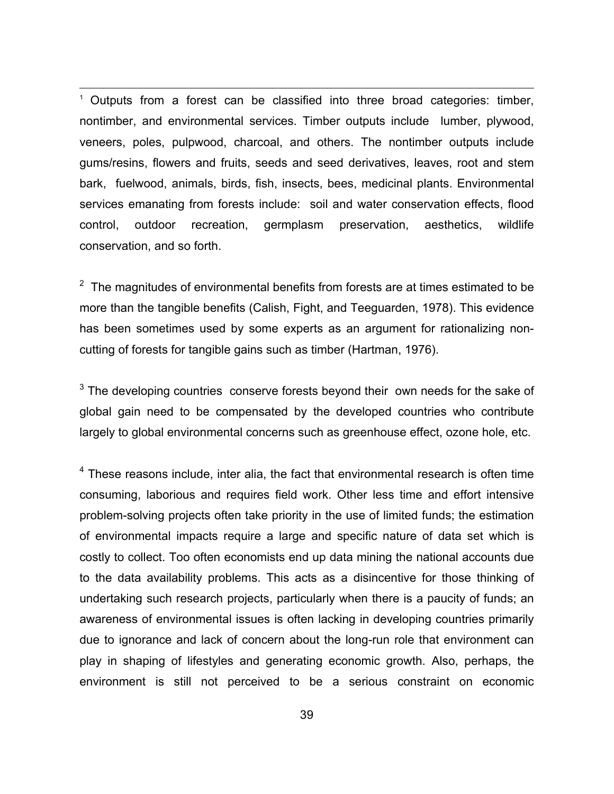<sup>1</sup> Outputs from a forest can be classified into three broad categories: timber, nontimber, and environmental services. Timber outputs include lumber, plywood, veneers, poles, pulpwood, charcoal, and others. The nontimber outputs include gums/resins, flowers and fruits, seeds and seed derivatives, leaves, root and stem bark, fuelwood, animals, birds, fish, insects, bees, medicinal plants. Environmental services emanating from forests include: soil and water conservation effects, flood control, outdoor recreation, germplasm preservation, aesthetics, wildlife conservation, and so forth.

 $2$  The magnitudes of environmental benefits from forests are at times estimated to be more than the tangible benefits (Calish, Fight, and Teeguarden, 1978). This evidence has been sometimes used by some experts as an argument for rationalizing noncutting of forests for tangible gains such as timber (Hartman, 1976).

 $3$  The developing countries conserve forests beyond their own needs for the sake of global gain need to be compensated by the developed countries who contribute largely to global environmental concerns such as greenhouse effect, ozone hole, etc.

 $4$  These reasons include, inter alia, the fact that environmental research is often time consuming, laborious and requires field work. Other less time and effort intensive problem-solving projects often take priority in the use of limited funds; the estimation of environmental impacts require a large and specific nature of data set which is costly to collect. Too often economists end up data mining the national accounts due to the data availability problems. This acts as a disincentive for those thinking of undertaking such research projects, particularly when there is a paucity of funds; an awareness of environmental issues is often lacking in developing countries primarily due to ignorance and lack of concern about the long-run role that environment can play in shaping of lifestyles and generating economic growth. Also, perhaps, the environment is still not perceived to be a serious constraint on economic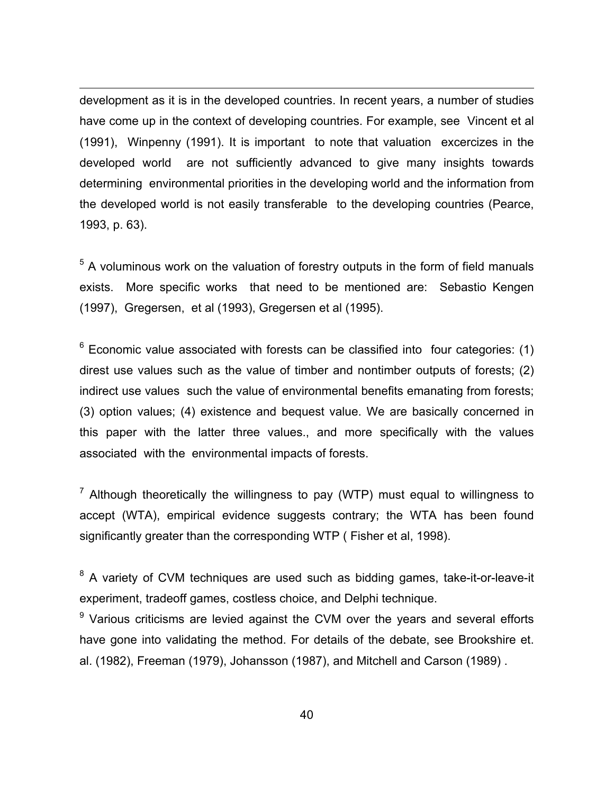development as it is in the developed countries. In recent years, a number of studies have come up in the context of developing countries. For example, see Vincent et al (1991), Winpenny (1991). It is important to note that valuation excercizes in the developed world are not sufficiently advanced to give many insights towards determining environmental priorities in the developing world and the information from the developed world is not easily transferable to the developing countries (Pearce, 1993, p. 63).

1

 $<sup>5</sup>$  A voluminous work on the valuation of forestry outputs in the form of field manuals</sup> exists. More specific works that need to be mentioned are: Sebastio Kengen (1997), Gregersen, et al (1993), Gregersen et al (1995).

 $6$  Economic value associated with forests can be classified into four categories: (1) direst use values such as the value of timber and nontimber outputs of forests; (2) indirect use values such the value of environmental benefits emanating from forests; (3) option values; (4) existence and bequest value. We are basically concerned in this paper with the latter three values., and more specifically with the values associated with the environmental impacts of forests.

 $7$  Although theoretically the willingness to pay (WTP) must equal to willingness to accept (WTA), empirical evidence suggests contrary; the WTA has been found significantly greater than the corresponding WTP ( Fisher et al, 1998).

<sup>8</sup> A variety of CVM techniques are used such as bidding games, take-it-or-leave-it experiment, tradeoff games, costless choice, and Delphi technique.

<sup>9</sup> Various criticisms are levied against the CVM over the years and several efforts have gone into validating the method. For details of the debate, see Brookshire et. al. (1982), Freeman (1979), Johansson (1987), and Mitchell and Carson (1989) .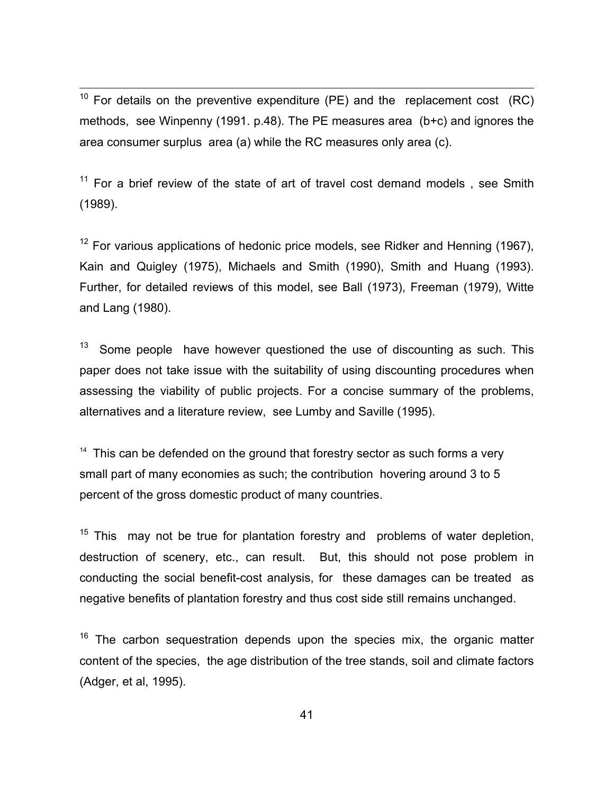$10$  For details on the preventive expenditure (PE) and the replacement cost (RC) methods, see Winpenny (1991. p.48). The PE measures area (b+c) and ignores the area consumer surplus area (a) while the RC measures only area (c).

 $11$  For a brief review of the state of art of travel cost demand models, see Smith (1989).

 $12$  For various applications of hedonic price models, see Ridker and Henning (1967), Kain and Quigley (1975), Michaels and Smith (1990), Smith and Huang (1993). Further, for detailed reviews of this model, see Ball (1973), Freeman (1979), Witte and Lang (1980).

 $13$  Some people have however questioned the use of discounting as such. This paper does not take issue with the suitability of using discounting procedures when assessing the viability of public projects. For a concise summary of the problems, alternatives and a literature review, see Lumby and Saville (1995).

 $14$  This can be defended on the ground that forestry sector as such forms a very small part of many economies as such; the contribution hovering around 3 to 5 percent of the gross domestic product of many countries.

 $15$  This may not be true for plantation forestry and problems of water depletion, destruction of scenery, etc., can result. But, this should not pose problem in conducting the social benefit-cost analysis, for these damages can be treated as negative benefits of plantation forestry and thus cost side still remains unchanged.

 $16$  The carbon sequestration depends upon the species mix, the organic matter content of the species, the age distribution of the tree stands, soil and climate factors (Adger, et al, 1995).